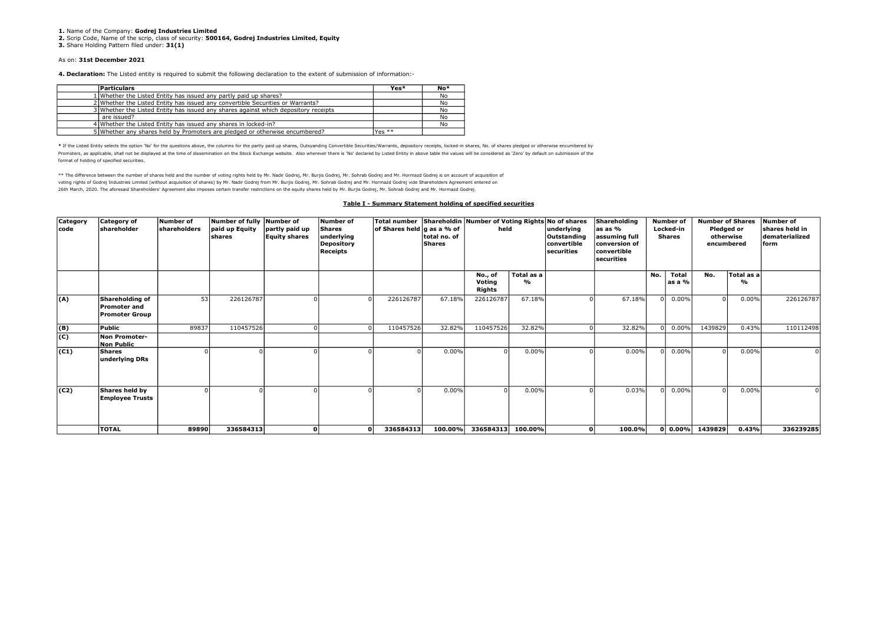1. Name of the Company: Godrei Industries Limited

2. Scrip Code, Name of the scrip, class of security: 500164, Godrej Industries Limited, Equity

3. Share Holding Pattern filed under: 31(1)

## As on: 31st December 2021

4. Declaration: The Listed entity is required to submit the following declaration to the extent of submission of information:-

| <b>Particulars</b>                                                                  | Yes*     | $No*$ |
|-------------------------------------------------------------------------------------|----------|-------|
| 1 Whether the Listed Entity has issued any partly paid up shares?                   |          | No    |
| 2 Whether the Listed Entity has issued any convertible Securities or Warrants?      |          | No    |
| 3 Whether the Listed Entity has issued any shares against which depository receipts |          | No    |
| are issued?                                                                         |          | No    |
| 4 Whether the Listed Entity has issued any shares in locked-in?                     |          | No    |
| 5 Whether any shares held by Promoters are pledged or otherwise encumbered?         | Yes $**$ |       |

\* If the Listed Entity selects the option 'No' for the questions above, the columns for the partly paid up shares, Outsyanding Convertible Securities/Warrants, depository receipts, locked-in shares, No. of shares pledged o Promoters, as applicable, shall not be displayed at the time of dissemination on the Stock Exchange website. Also wherever there is 'No' declared by Listed Entity in above table the values will be considered as 'Zero' by d format of holding of specified securities.

\*\* The difference between the number of shares held and the number of voting rights held by Mr. Nadir Godrej, Mr. Burjis Godrej, Mr. Sohrab Godrej and Mr. Hormazd Godrej is on account of acquisition of voting rights of Godrej Industries Limited (without acquisition of shares) by Mr. Nadir Godrej from Mr. Burjis Godrej, Mr. Sohrab Godrej and Mr. Hormazd Godrej vide Shareholders Agreement entered on 26th March, 2020. The aforesaid Shareholders' Agreement also imposes certain transfer restrictions on the equity shares held by Mr. Burjis Godrej, Mr. Sohrab Godrej and Mr. Hormazd Godrej.

## Table I - Summary Statement holding of specified securities

| Category<br>code | <b>Category of</b><br>shareholder                               | Number of<br><b>shareholders</b> | Number of fully<br>paid up Equity<br>İshares | Number of<br>partly paid up<br><b>Equity shares</b> | Number of<br><b>Shares</b><br>underlying<br><b>Depository</b><br>Receipts | Total number Shareholdin Number of Voting Rights No of shares<br>∣of Shares held ∣g as a % of | total no. of<br>Shares | held                        |                             | underlying<br>Outstanding<br>convertible<br><b>securities</b> | Shareholding<br>las as %<br>assuming full<br>conversion of<br>convertible<br>securities |          | <b>Number of</b><br>Locked-in<br><b>Shares</b> | <b>Number of Shares</b><br>Pledged or<br>otherwise<br>encumbered |                             | Number of<br>shares held in<br>dematerialized<br>form |
|------------------|-----------------------------------------------------------------|----------------------------------|----------------------------------------------|-----------------------------------------------------|---------------------------------------------------------------------------|-----------------------------------------------------------------------------------------------|------------------------|-----------------------------|-----------------------------|---------------------------------------------------------------|-----------------------------------------------------------------------------------------|----------|------------------------------------------------|------------------------------------------------------------------|-----------------------------|-------------------------------------------------------|
|                  |                                                                 |                                  |                                              |                                                     |                                                                           |                                                                                               |                        | No., of<br>Voting<br>Rights | Total as a<br>$\frac{9}{6}$ |                                                               |                                                                                         | No.      | Total<br>as a %                                | No.                                                              | Total as a<br>$\frac{9}{6}$ |                                                       |
| (A)              | Shareholding of<br><b>Promoter and</b><br><b>Promoter Group</b> | 53                               | 226126787                                    |                                                     |                                                                           | 226126787                                                                                     | 67.18%                 | 226126787                   | 67.18%                      |                                                               | 67.18%                                                                                  |          | $0 0.00\%$                                     | $\Omega$                                                         | $0.00\%$                    | 226126787                                             |
| (B)              | Public                                                          | 89837                            | 110457526                                    |                                                     |                                                                           | 110457526                                                                                     | 32.82%                 | 110457526                   | 32.82%                      |                                                               | 32.82%                                                                                  |          | 0.00%                                          | 1439829                                                          | 0.43%                       | 110112498                                             |
| $\overline{c}$   | Non Promoter-<br><b>Non Public</b>                              |                                  |                                              |                                                     |                                                                           |                                                                                               |                        |                             |                             |                                                               |                                                                                         |          |                                                |                                                                  |                             |                                                       |
| (C1)             | Shares<br>underlying DRs                                        |                                  |                                              |                                                     |                                                                           |                                                                                               | $0.00\%$               |                             | 0.00%                       |                                                               | 0.00%                                                                                   |          | $0 0.00\%$                                     | $\Omega$                                                         | 0.00%                       |                                                       |
| (C2)             | Shares held by<br><b>Employee Trusts</b>                        |                                  |                                              |                                                     |                                                                           |                                                                                               | 0.00%                  |                             | 0.00%                       |                                                               | 0.03%                                                                                   | $\Omega$ | 0.00%                                          |                                                                  | 0.00%                       |                                                       |
|                  | <b>TOTAL</b>                                                    | 89890                            | 336584313                                    | ٥                                                   | $\Omega$                                                                  | 336584313                                                                                     | 100.00%                | 336584313 100.00%           |                             | οl                                                            | 100.0%                                                                                  |          |                                                | $0 0.00\% 1439829 $                                              | 0.43%                       | 336239285                                             |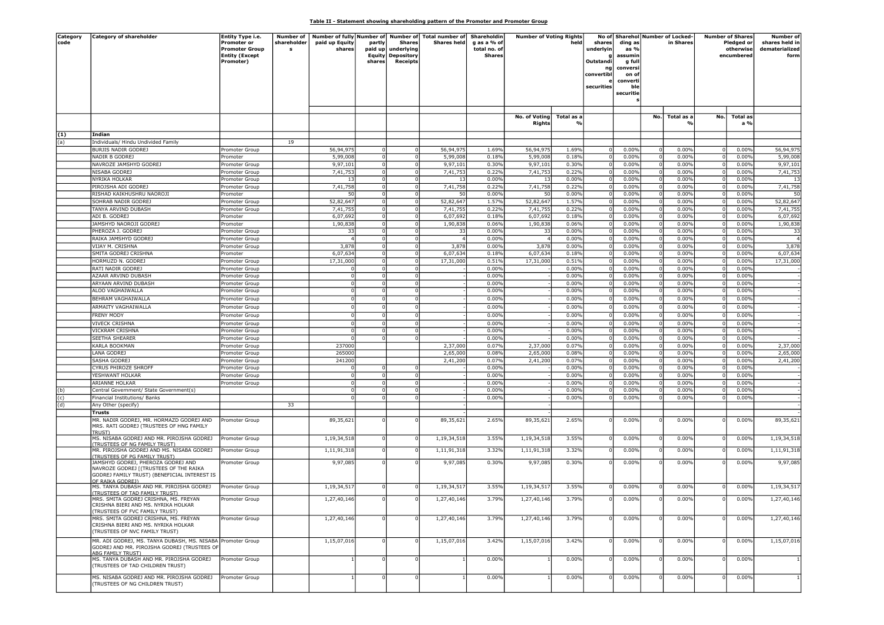## Table II - Statement showing shareholding pattern of the Promoter and Promoter Group

| Category<br>code | <b>Category of shareholder</b>                                                                                                  | Entity Type i.e.<br><b>Promoter or</b><br><b>Promoter Group</b><br><b>Entity (Except</b><br>Promoter) | Number of<br>shareholder | paid up Equity<br>shares | partly<br>paid up<br>Equity<br>shares | <b>Shares</b><br>underlying<br>Depository<br><b>Receipts</b> | Number of fully Number of Number of Total number of<br><b>Shares held</b> | Shareholdin<br>g as a % of<br>total no. of<br><b>Shares</b> | <b>Number of Voting Rights</b><br>No. of Voting Total as a<br>Rights |                | held<br>shares<br>underlyin<br>Outstandi<br>ng<br>convertibl<br>securities | ding as<br>as %<br>assumin<br>g full<br>conversi<br>on of<br>converti<br>ble<br>securitie |          | No of Sharehol Number of Locked-<br>in Shares |     | <b>Number of Shares</b><br>Pledged or<br>otherwise<br>encumbered | Number of<br>shares held in<br>dematerialized<br>form |
|------------------|---------------------------------------------------------------------------------------------------------------------------------|-------------------------------------------------------------------------------------------------------|--------------------------|--------------------------|---------------------------------------|--------------------------------------------------------------|---------------------------------------------------------------------------|-------------------------------------------------------------|----------------------------------------------------------------------|----------------|----------------------------------------------------------------------------|-------------------------------------------------------------------------------------------|----------|-----------------------------------------------|-----|------------------------------------------------------------------|-------------------------------------------------------|
|                  |                                                                                                                                 |                                                                                                       |                          |                          |                                       |                                                              |                                                                           |                                                             |                                                                      |                |                                                                            |                                                                                           |          |                                               |     |                                                                  |                                                       |
|                  |                                                                                                                                 |                                                                                                       |                          |                          |                                       |                                                              |                                                                           |                                                             |                                                                      |                |                                                                            |                                                                                           | No.      | Total as a                                    | No. | Total as<br>a %                                                  |                                                       |
| (1)              | Indian                                                                                                                          |                                                                                                       |                          |                          |                                       |                                                              |                                                                           |                                                             |                                                                      |                |                                                                            |                                                                                           |          |                                               |     |                                                                  |                                                       |
| (a)              | Individuals/ Hindu Undivided Family                                                                                             |                                                                                                       | 19                       |                          |                                       |                                                              |                                                                           |                                                             |                                                                      |                |                                                                            |                                                                                           |          |                                               |     |                                                                  |                                                       |
|                  | BURJIS NADIR GODREJ                                                                                                             | Promoter Group                                                                                        |                          | 56,94,975                |                                       | 0                                                            | 56,94,97                                                                  | 1.69%                                                       | 56,94,975                                                            | 1.69%          | $\Omega$                                                                   | 0.00%                                                                                     |          | 0.00%                                         |     | 0.00%                                                            | 56,94,975                                             |
|                  | NADIR B GODREJ                                                                                                                  | Promoter                                                                                              |                          | 5,99,008                 |                                       | $\overline{0}$                                               | 5,99,008                                                                  | 0.18%                                                       | 5,99,008                                                             | 0.18%          | - 0                                                                        | 0.00%                                                                                     |          | 0.00%                                         |     | 0.00%                                                            | 5,99,008                                              |
|                  | NAVROZE JAMSHYD GODREJ<br>NISABA GODREJ                                                                                         | Promoter Group<br>Promoter Group                                                                      |                          | 9,97,101<br>7,41,753     |                                       | 0 <br> 0                                                     | 9,97,101<br>7,41,753                                                      | 0.30%<br>0.22%                                              | 9,97,101<br>7,41,753                                                 | 0.30%<br>0.22% | $\Omega$<br>0                                                              | 0.00%<br>0.00%                                                                            |          | 0.00%<br>0.00%                                |     | 0.00%<br>0.00%                                                   | 9,97,101<br>7,41,753                                  |
|                  | NYRIKA HOLKAR                                                                                                                   | Promoter Group                                                                                        |                          | 13                       |                                       | $\overline{0}$                                               | -13                                                                       | 0.00%                                                       | -13                                                                  | 0.00%          | $\Omega$                                                                   | 0.00%                                                                                     |          | 0.00%                                         |     | 0.00%                                                            | 13                                                    |
|                  | PIROJSHA ADI GODREJ                                                                                                             | Promoter Group                                                                                        |                          | 7,41,758                 |                                       | ol                                                           | 7,41,758                                                                  | 0.22%                                                       | 7,41,758                                                             | 0.22%          |                                                                            | 0.00%                                                                                     |          | 0.00%                                         |     | 0.00%                                                            | 7,41,758                                              |
|                  | RISHAD KAIKHUSHRU NAOROJI                                                                                                       | Promoter                                                                                              |                          | 50                       |                                       | 0                                                            | 50                                                                        | 0.00%                                                       | 50                                                                   | 0.00%          | 0                                                                          | 0.00%                                                                                     |          | 0.00%                                         |     | 0.00%                                                            | 50                                                    |
|                  | SOHRAB NADIR GODREJ                                                                                                             | Promoter Group                                                                                        |                          | 52,82,647                |                                       | $\overline{0}$                                               | 52,82,647                                                                 | 1.57%                                                       | 52,82,647                                                            | 1.57%          | - 0                                                                        | 0.00%                                                                                     |          | 0.00%                                         |     | 0.00%                                                            | 52,82,647                                             |
|                  | TANYA ARVIND DUBASH                                                                                                             | Promoter Group                                                                                        |                          | 7,41,755                 |                                       | $\overline{0}$                                               | 7,41,755                                                                  | 0.22%                                                       | 7,41,755                                                             | 0.22%          |                                                                            | 0.00%                                                                                     |          | 0.00%                                         |     | 0.00%                                                            | 7,41,755                                              |
|                  | ADI B. GODREJ                                                                                                                   | Promoter                                                                                              |                          | 6,07,692                 |                                       | $\overline{0}$                                               | 6,07,692                                                                  | 0.18%<br>0.06%                                              | 6,07,692                                                             | 0.18%          | $\Omega$                                                                   | 0.00%                                                                                     | - 0      | 0.00%                                         |     | 0.00%                                                            | 6,07,692                                              |
|                  | JAMSHYD NAOROJI GODREJ<br>PHEROZA J. GODREJ                                                                                     | Promoter<br>Promoter Group                                                                            |                          | 1,90,838<br>33           |                                       | -ol<br>$\circ$                                               | 1,90,838<br>-33                                                           | 0.00%                                                       | 1,90,838<br>33                                                       | 0.06%<br>0.00% |                                                                            | 0.00%<br>0.00%                                                                            |          | 0.00%<br>0.00%                                |     | 0.00%<br>0.00%                                                   | 1,90,838<br>33                                        |
|                  | RAIKA JAMSHYD GODREJ                                                                                                            | Promoter Group                                                                                        |                          |                          |                                       | $\overline{0}$                                               |                                                                           | 0.00%                                                       |                                                                      | 0.00%          | $\Omega$                                                                   | 0.00%                                                                                     |          | 0.00%                                         |     | 0.00%                                                            | $\overline{4}$                                        |
|                  | VIJAY M. CRISHNA                                                                                                                | Promoter Group                                                                                        |                          | 3,878                    |                                       | 0                                                            | 3,878                                                                     | 0.00%                                                       | 3,878                                                                | 0.00%          | $\Omega$                                                                   | 0.00%                                                                                     | $\Omega$ | 0.00%                                         |     | 0.00%                                                            | 3,878                                                 |
|                  | SMITA GODREJ CRISHNA                                                                                                            | Promoter                                                                                              |                          | 6,07,634                 |                                       | 0                                                            | 6,07,634                                                                  | 0.18%                                                       | 6,07,634                                                             | 0.18%          | 0                                                                          | 0.00%                                                                                     | - 0      | 0.00%                                         |     | 0.00%                                                            | 6,07,634                                              |
|                  | HORMUZD N. GODREJ                                                                                                               | Promoter Group                                                                                        |                          | 17,31,000                |                                       | $\Omega$                                                     | 17,31,000                                                                 | 0.51%                                                       | 17,31,000                                                            | 0.51%          | $\Omega$                                                                   | 0.00%                                                                                     |          | 0.00%                                         |     | 0.00%                                                            | 17,31,000                                             |
|                  | RATI NADIR GODREJ                                                                                                               | Promoter Group                                                                                        |                          |                          |                                       | 0                                                            |                                                                           | 0.00%                                                       |                                                                      | 0.00%          |                                                                            | 0.00%                                                                                     |          | 0.00%                                         |     | 0.00%                                                            |                                                       |
|                  | AZAAR ARVIND DUBASH                                                                                                             | Promoter Group                                                                                        |                          |                          |                                       | 0                                                            |                                                                           | 0.00%                                                       |                                                                      | 0.00%          |                                                                            | 0.00%                                                                                     |          | 0.00%                                         |     | 0.00%                                                            |                                                       |
|                  | ARYAAN ARVIND DUBASH                                                                                                            | Promoter Group                                                                                        |                          |                          |                                       | $\mathbf 0$<br>$\Omega$                                      |                                                                           | 0.00%                                                       |                                                                      | 0.00%          |                                                                            | 0.00%                                                                                     |          | 0.00%                                         |     | 0.00%                                                            |                                                       |
|                  | ALOO VAGHAIWALLA                                                                                                                | Promoter Group                                                                                        |                          |                          |                                       |                                                              |                                                                           | 0.00%                                                       |                                                                      | 0.00%          |                                                                            | 0.00%                                                                                     |          | 0.00%                                         |     | 0.00%                                                            |                                                       |
|                  | BEHRAM VAGHAIWALLA<br>ARMAITY VAGHAIWALLA                                                                                       | Promoter Group                                                                                        |                          |                          |                                       | 0<br>$\Omega$                                                |                                                                           | 0.00%<br>0.00%                                              |                                                                      | 0.00%<br>0.00% |                                                                            | 0.00%<br>0.00%                                                                            |          | 0.00%<br>0.00%                                |     | 0.00%<br>0.00%                                                   |                                                       |
|                  | FRENY MODY                                                                                                                      | Promoter Group<br>Promoter Group                                                                      |                          |                          |                                       | 0                                                            |                                                                           | 0.00%                                                       |                                                                      | 0.00%          |                                                                            | 0.00%                                                                                     |          | 0.00%                                         |     | 0.00%                                                            |                                                       |
|                  | <b>VIVECK CRISHNA</b>                                                                                                           | Promoter Group                                                                                        |                          |                          |                                       | $\overline{0}$                                               |                                                                           | 0.00%                                                       |                                                                      | 0.00%          |                                                                            | 0.00%                                                                                     |          | 0.00%                                         |     | 0.00%                                                            |                                                       |
|                  | VICKRAM CRISHNA                                                                                                                 | Promoter Group                                                                                        |                          |                          |                                       | $\overline{0}$                                               |                                                                           | 0.00%                                                       |                                                                      | 0.00%          |                                                                            | 0.00%                                                                                     |          | 0.00%                                         |     | 0.00%                                                            |                                                       |
|                  | SEETHA SHEARER                                                                                                                  | Promoter Group                                                                                        |                          |                          |                                       |                                                              |                                                                           | 0.00%                                                       |                                                                      | 0.00%          |                                                                            | 0.00%                                                                                     |          | 0.00%                                         |     | 0.00%                                                            |                                                       |
|                  | KARLA BOOKMAN                                                                                                                   | Promoter Group                                                                                        |                          | 237000                   |                                       |                                                              | 2,37,000                                                                  | 0.07%                                                       | 2,37,000                                                             | 0.07%          |                                                                            | 0.00%                                                                                     |          | 0.00%                                         |     | 0.00%                                                            | 2,37,000                                              |
|                  | LANA GODREJ                                                                                                                     | Promoter Group                                                                                        |                          | 265000                   |                                       |                                                              | 2,65,000                                                                  | 0.08%                                                       | 2,65,000                                                             | 0.08%          | 0                                                                          | 0.00%                                                                                     | - 0      | 0.00%                                         |     | 0.00%                                                            | 2,65,000                                              |
|                  | SASHA GODREJ                                                                                                                    | Promoter Group                                                                                        |                          | 241200                   |                                       |                                                              | 2,41,200                                                                  | 0.07%                                                       | 2,41,200                                                             | 0.07%          |                                                                            | 0.00%                                                                                     |          | 0.00%                                         |     | 0.00%                                                            | 2,41,200                                              |
|                  | CYRUS PHIROZE SHROFF                                                                                                            | Promoter Group                                                                                        |                          |                          |                                       | $\Omega$                                                     |                                                                           | 0.00%                                                       |                                                                      | 0.00%          |                                                                            | 0.00%                                                                                     |          | 0.00%                                         |     | 0.00%                                                            |                                                       |
|                  | YESHWANT HOLKAR                                                                                                                 | Promoter Group                                                                                        |                          |                          |                                       | 0                                                            |                                                                           | 0.00%                                                       |                                                                      | 0.00%          |                                                                            | 0.00%                                                                                     |          | 0.00%                                         |     | 0.00%                                                            |                                                       |
|                  | ARIANNE HOLKAR                                                                                                                  | Promoter Group                                                                                        |                          |                          |                                       | -ol<br>$\mathbf 0$                                           |                                                                           | 0.00%<br>0.00%                                              |                                                                      | 0.00%<br>0.00% | 0<br>$\Omega$                                                              | 0.00%                                                                                     |          | 0.00%<br>0.00%                                |     | 0.00%<br>0.00%                                                   |                                                       |
| (b)<br>(c)       | Central Government/ State Government(s)<br>Financial Institutions/ Banks                                                        |                                                                                                       |                          |                          |                                       | $\Omega$                                                     |                                                                           | 0.00%                                                       |                                                                      | 0.00%          |                                                                            | 0.00%<br>0.00%                                                                            |          | 0.00%                                         |     | 0.00%                                                            |                                                       |
| (d)              | Any Other (specify)                                                                                                             |                                                                                                       | 33                       |                          |                                       |                                                              |                                                                           |                                                             |                                                                      |                |                                                                            |                                                                                           |          |                                               |     |                                                                  |                                                       |
|                  | Trusts                                                                                                                          |                                                                                                       |                          |                          |                                       |                                                              |                                                                           |                                                             |                                                                      |                |                                                                            |                                                                                           |          |                                               |     |                                                                  |                                                       |
|                  | MR. NADIR GODREJ, MR. HORMAZD GODREJ AND<br>MRS. RATI GODREJ (TRUSTEES OF HNG FAMILY<br><b>TRUST)</b>                           | Promoter Group                                                                                        |                          | 89,35,621                |                                       |                                                              | 89,35,621                                                                 | 2.65%                                                       | 89,35,621                                                            | 2.65%          |                                                                            | 0.00%                                                                                     |          | 0.00%                                         |     | 0.00%                                                            | 89,35,621                                             |
|                  | MS. NISABA GODREJ AND MR. PIROJSHA GODREJ                                                                                       | Promoter Group                                                                                        |                          | 1,19,34,518              |                                       | $\overline{0}$                                               | 1,19,34,518                                                               | 3.55%                                                       | 1,19,34,518                                                          | 3.55%          |                                                                            | 0.00%                                                                                     |          | 0.00%                                         |     | 0.00%                                                            | 1,19,34,518                                           |
|                  | (TRUSTEES OF NG FAMILY TRUST)<br>MR. PIROJSHA GODREJ AND MS. NISABA GODREJ<br><b>TRUSTEES OF PG FAMILY TRUST)</b>               | Promoter Group                                                                                        |                          | 1,11,91,318              |                                       |                                                              | 1,11,91,318                                                               | 3.32%                                                       | 1,11,91,318                                                          | 3.32%          |                                                                            | 0.00%                                                                                     |          | 0.00%                                         |     | 0.00%                                                            | 1,11,91,318                                           |
|                  | JAMSHYD GODREJ, PHEROZA GODREJ AND<br>NAVROZE GODREJ [(TRUSTEES OF THE RAIKA<br>GODREJ FAMILY TRUST) (BENEFICIAL INTEREST IS    | Promoter Group                                                                                        |                          | 9,97,085                 |                                       |                                                              | 9,97,085                                                                  | 0.30%                                                       | 9,97,085                                                             | 0.30%          |                                                                            | 0.00%                                                                                     |          | 0.00%                                         |     | 0.00%                                                            | 9,97,085                                              |
|                  | OF RAIKA GODREJ)<br>MS. TANYA DUBASH AND MR. PIROJSHA GODREJ<br><b>TRUSTEES OF TAD FAMILY TRUST)</b>                            | Promoter Group                                                                                        |                          | 1,19,34,517              |                                       |                                                              | 1,19,34,517                                                               | 3.55%                                                       | 1,19,34,517                                                          | 3.55%          |                                                                            | 0.00%                                                                                     |          | 0.00%                                         |     | 0.00%                                                            | 1,19,34,517                                           |
|                  | MRS. SMITA GODREJ CRISHNA, MS. FREYAN<br>CRISHNA BIERI AND MS. NYRIKA HOLKAR<br>(TRUSTEES OF FVC FAMILY TRUST)                  | Promoter Group                                                                                        |                          | 1,27,40,146              | $\circ$                               | $\mathbf 0$                                                  | 1,27,40,146                                                               | 3.79%                                                       | 1,27,40,146                                                          | 3.79%          | $^{\circ}$                                                                 | 0.00%                                                                                     | 0        | 0.00%                                         | n   | 0.00%                                                            | 1,27,40,146                                           |
|                  | MRS. SMITA GODREJ CRISHNA, MS. FREYAN<br>CRISHNA BIERI AND MS. NYRIKA HOLKAR<br>(TRUSTEES OF NVC FAMILY TRUST)                  | Promoter Group                                                                                        |                          | 1,27,40,146              |                                       |                                                              | 1,27,40,146                                                               | 3.79%                                                       | 1,27,40,146                                                          | 3.79%          |                                                                            | 0.00%                                                                                     |          | 0.00%                                         |     | 0.00%                                                            | 1,27,40,146                                           |
|                  | MR. ADI GODREJ, MS. TANYA DUBASH, MS. NISABA Promoter Group<br>GODREJ AND MR. PIROJSHA GODREJ (TRUSTEES OF<br>ABG FAMILY TRUST) |                                                                                                       |                          | 1,15,07,016              |                                       |                                                              | 1,15,07,016                                                               | 3.42%                                                       | 1,15,07,016                                                          | 3.42%          |                                                                            | 0.00%                                                                                     |          | 0.00%                                         |     | 0.00%                                                            | 1,15,07,016                                           |
|                  | MS. TANYA DUBASH AND MR. PIROJSHA GODREJ<br>(TRUSTEES OF TAD CHILDREN TRUST)                                                    | Promoter Group                                                                                        |                          |                          |                                       |                                                              |                                                                           | 0.00%                                                       |                                                                      | 0.00%          | $\Omega$                                                                   | 0.00%                                                                                     |          | 0.00%                                         |     | 0.00%                                                            | $\frac{1}{2}$                                         |
|                  | MS. NISABA GODREJ AND MR. PIROJSHA GODREJ<br>(TRUSTEES OF NG CHILDREN TRUST)                                                    | Promoter Group                                                                                        |                          |                          |                                       |                                                              |                                                                           | 0.00%                                                       |                                                                      | 0.00%          |                                                                            | 0.00%                                                                                     |          | 0.00%                                         |     | 0.00%                                                            |                                                       |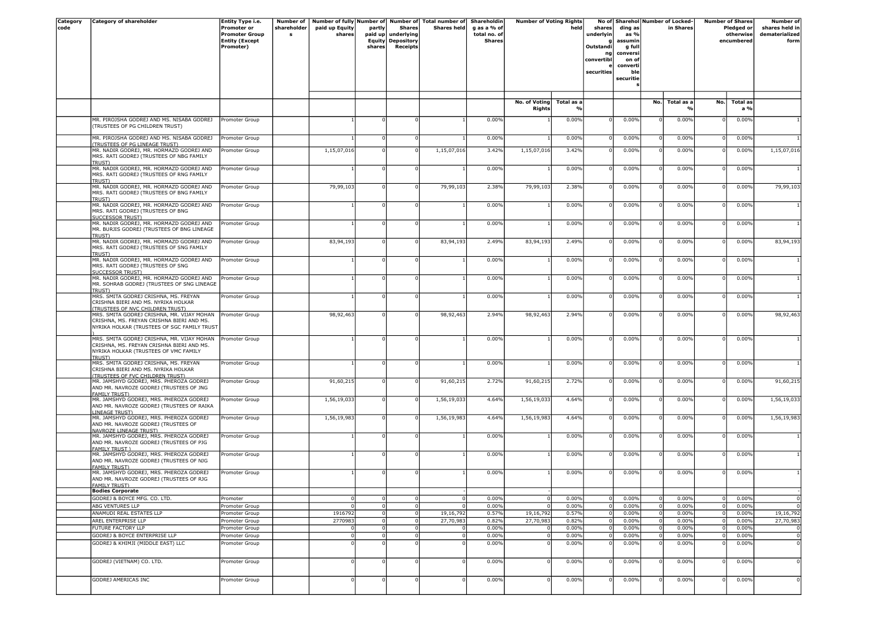| <b>Category</b> | <b>Category of shareholder</b>                                                          | Entity Type i.e.                               | <b>Number of</b> |                |             |                                         | Number of fully Number of Number of Total number of | <b>Shareholdin</b>            | <b>Number of Voting Rights</b> |                |                     |                 |                | No of Sharehol Number of Locked- |     | <b>Number of Shares</b> | Number of                  |
|-----------------|-----------------------------------------------------------------------------------------|------------------------------------------------|------------------|----------------|-------------|-----------------------------------------|-----------------------------------------------------|-------------------------------|--------------------------------|----------------|---------------------|-----------------|----------------|----------------------------------|-----|-------------------------|----------------------------|
| code            |                                                                                         | Promoter or                                    | shareholder      | paid up Equity | partly      | <b>Shares</b>                           | <b>Shares held</b>                                  | g as a % of                   |                                | held           | shares              | ding as         |                | in Shares                        |     | Pledged or              | shares held in             |
|                 |                                                                                         | <b>Promoter Group</b><br><b>Entity (Except</b> | s                | shares         |             | paid up underlying<br>Equity Depository |                                                     | total no. of<br><b>Shares</b> |                                |                | underlyin           | as %<br>assumin |                |                                  |     | otherwise<br>encumbered | dematerialized<br>form     |
|                 |                                                                                         | Promoter)                                      |                  |                | shares      | Receipts                                |                                                     |                               |                                |                | <b>Outstandi</b>    | g full          |                |                                  |     |                         |                            |
|                 |                                                                                         |                                                |                  |                |             |                                         |                                                     |                               |                                |                | nal                 | conversi        |                |                                  |     |                         |                            |
|                 |                                                                                         |                                                |                  |                |             |                                         |                                                     |                               |                                |                | convertibl          | on of           |                |                                  |     |                         |                            |
|                 |                                                                                         |                                                |                  |                |             |                                         |                                                     |                               |                                |                | securities          | converti<br>ble |                |                                  |     |                         |                            |
|                 |                                                                                         |                                                |                  |                |             |                                         |                                                     |                               |                                |                |                     | securitie       |                |                                  |     |                         |                            |
|                 |                                                                                         |                                                |                  |                |             |                                         |                                                     |                               |                                |                |                     |                 |                |                                  |     |                         |                            |
|                 |                                                                                         |                                                |                  |                |             |                                         |                                                     |                               |                                |                |                     |                 |                |                                  |     |                         |                            |
|                 |                                                                                         |                                                |                  |                |             |                                         |                                                     |                               | No. of Voting                  | Total as a     |                     |                 | No.            | Total as a                       | No. | <b>Total as</b>         |                            |
|                 |                                                                                         |                                                |                  |                |             |                                         |                                                     |                               | <b>Rights</b>                  |                |                     |                 |                |                                  |     | a %                     |                            |
|                 | MR. PIROJSHA GODREJ AND MS. NISABA GODREJ                                               | Promoter Group                                 |                  |                |             |                                         |                                                     | 0.00%                         |                                | 0.00%          | $\Omega$            | 0.00%           |                | 0.00%                            |     | 0.00%                   |                            |
|                 | (TRUSTEES OF PG CHILDREN TRUST)                                                         |                                                |                  |                |             |                                         |                                                     |                               |                                |                |                     |                 |                |                                  |     |                         |                            |
|                 | MR. PIROJSHA GODREJ AND MS. NISABA GODREJ                                               | Promoter Group                                 |                  |                |             | 0                                       |                                                     | 0.00%                         |                                | 0.00%          |                     | 0.00%           |                | 0.00%                            |     | 0.00%                   |                            |
|                 | (TRUSTEES OF PG LINEAGE TRUST)                                                          |                                                |                  |                |             |                                         |                                                     |                               |                                |                |                     |                 |                |                                  |     |                         |                            |
|                 | MR. NADIR GODREJ, MR. HORMAZD GODREJ AND                                                | Promoter Group                                 |                  | 1,15,07,016    |             | $\Omega$                                | 1,15,07,016                                         | 3.42%                         | 1,15,07,016                    | 3.42%          |                     | 0.00%           |                | 0.00%                            |     | 0.00%                   | 1,15,07,016                |
|                 | MRS. RATI GODREJ (TRUSTEES OF NBG FAMILY<br><b>TRUST)</b>                               |                                                |                  |                |             |                                         |                                                     |                               |                                |                |                     |                 |                |                                  |     |                         |                            |
|                 | MR. NADIR GODREJ, MR. HORMAZD GODREJ AND                                                | Promoter Group                                 |                  |                |             | $\Omega$                                |                                                     | 0.00%                         |                                | 0.00%          |                     | 0.00%           |                | 0.00%                            |     | 0.00%                   |                            |
|                 | MRS. RATI GODREJ (TRUSTEES OF RNG FAMILY<br><b>TRUST)</b>                               |                                                |                  |                |             |                                         |                                                     |                               |                                |                |                     |                 |                |                                  |     |                         |                            |
|                 | MR. NADIR GODREJ, MR. HORMAZD GODREJ AND                                                | Promoter Group                                 |                  | 79,99,103      |             | 0                                       | 79,99,103                                           | 2.38%                         | 79,99,103                      | 2.38%          |                     | 0.00%           |                | 0.00%                            |     | 0.00%                   | 79,99,103                  |
|                 | MRS. RATI GODREJ (TRUSTEES OF BNG FAMILY                                                |                                                |                  |                |             |                                         |                                                     |                               |                                |                |                     |                 |                |                                  |     |                         |                            |
|                 | <b>TRUST)</b><br>MR. NADIR GODREJ, MR. HORMAZD GODREJ AND                               | Promoter Group                                 |                  |                |             | $\Omega$                                |                                                     | 0.00%                         |                                | 0.00%          | $\Omega$            | 0.00%           | $\Omega$       | 0.00%                            |     | 0.00%                   |                            |
|                 | MRS. RATI GODREJ (TRUSTEES OF BNG                                                       |                                                |                  |                |             |                                         |                                                     |                               |                                |                |                     |                 |                |                                  |     |                         |                            |
|                 | <b>SUCCESSOR TRUST)</b>                                                                 |                                                |                  |                |             |                                         |                                                     |                               |                                |                |                     |                 |                |                                  |     |                         |                            |
|                 | MR. NADIR GODREJ, MR. HORMAZD GODREJ AND<br>MR. BURJIS GODREJ (TRUSTEES OF BNG LINEAGE  | Promoter Group                                 |                  |                |             | $\Omega$                                |                                                     | 0.00%                         |                                | 0.00%          |                     | 0.00%           |                | 0.00%                            |     | 0.00%                   |                            |
|                 | TRUST)                                                                                  |                                                |                  |                |             |                                         |                                                     |                               |                                |                |                     |                 |                |                                  |     |                         |                            |
|                 | MR. NADIR GODREJ, MR. HORMAZD GODREJ AND                                                | Promoter Group                                 |                  | 83,94,193      |             | $^{\circ}$                              | 83,94,193                                           | 2.49%                         | 83,94,193                      | 2.49%          | $\Omega$            | 0.00%           | $\Omega$       | 0.00%                            |     | 0.00%                   | 83,94,193                  |
|                 | MRS. RATI GODREJ (TRUSTEES OF SNG FAMILY<br><b>TRUST)</b>                               |                                                |                  |                |             |                                         |                                                     |                               |                                |                |                     |                 |                |                                  |     |                         |                            |
|                 | MR. NADIR GODREJ, MR. HORMAZD GODREJ AND                                                | Promoter Group                                 |                  |                |             |                                         |                                                     | 0.00%                         |                                | 0.00%          |                     | 0.00%           |                | 0.00%                            |     | 0.00%                   |                            |
|                 | MRS. RATI GODREJ (TRUSTEES OF SNG                                                       |                                                |                  |                |             |                                         |                                                     |                               |                                |                |                     |                 |                |                                  |     |                         |                            |
|                 | <b>SUCCESSOR TRUST)</b><br>MR. NADIR GODREJ, MR. HORMAZD GODREJ AND                     | Promoter Group                                 |                  |                |             | $\Omega$                                |                                                     | 0.00%                         |                                | 0.00%          | $\Omega$            | 0.00%           | $\Omega$       | 0.00%                            |     | 0.00%                   |                            |
|                 | MR. SOHRAB GODREJ (TRUSTEES OF SNG LINEAGE                                              |                                                |                  |                |             |                                         |                                                     |                               |                                |                |                     |                 |                |                                  |     |                         |                            |
|                 | <b>TRUST)</b>                                                                           |                                                |                  |                |             |                                         |                                                     |                               |                                |                |                     |                 |                |                                  |     |                         |                            |
|                 | MRS. SMITA GODREJ CRISHNA, MS. FREYAN<br>CRISHNA BIERI AND MS. NYRIKA HOLKAR            | Promoter Group                                 |                  |                |             | $\Omega$                                |                                                     | 0.00%                         |                                | 0.00%          | $\Omega$            | 0.00%           |                | 0.00%                            |     | 0.00%                   |                            |
|                 | <b>TRUSTEES OF NVC CHILDREN TRUST)</b>                                                  |                                                |                  |                |             |                                         |                                                     |                               |                                |                |                     |                 |                |                                  |     |                         |                            |
|                 | MRS. SMITA GODREJ CRISHNA, MR. VIJAY MOHAN<br>CRISHNA, MS. FREYAN CRISHNA BIERI AND MS. | Promoter Group                                 |                  | 98,92,463      |             | $\Omega$                                | 98,92,463                                           | 2.94%                         | 98,92,463                      | 2.94%          |                     | 0.00%           |                | 0.00%                            |     | 0.00%                   | 98,92,463                  |
|                 | NYRIKA HOLKAR (TRUSTEES OF SGC FAMILY TRUST                                             |                                                |                  |                |             |                                         |                                                     |                               |                                |                |                     |                 |                |                                  |     |                         |                            |
|                 |                                                                                         |                                                |                  |                |             |                                         |                                                     |                               |                                |                |                     |                 |                |                                  |     |                         |                            |
|                 | MRS. SMITA GODREJ CRISHNA, MR. VIJAY MOHAN<br>CRISHNA, MS. FREYAN CRISHNA BIERI AND MS. | Promoter Group                                 |                  |                |             | $\Omega$                                |                                                     | 0.00%                         |                                | 0.00%          |                     | 0.00%           |                | 0.00%                            |     | 0.00%                   |                            |
|                 | NYRIKA HOLKAR (TRUSTEES OF VMC FAMILY                                                   |                                                |                  |                |             |                                         |                                                     |                               |                                |                |                     |                 |                |                                  |     |                         |                            |
|                 | <b>TRUST)</b><br>MRS. SMITA GODREJ CRISHNA, MS. FREYAN                                  | Promoter Group                                 |                  |                |             | $\Omega$                                |                                                     | 0.00%                         |                                | 0.00%          |                     | 0.00%           |                | 0.00%                            |     | 0.00%                   |                            |
|                 | CRISHNA BIERI AND MS. NYRIKA HOLKAR                                                     |                                                |                  |                |             |                                         |                                                     |                               |                                |                |                     |                 |                |                                  |     |                         |                            |
|                 | (TRUSTEES OF FVC CHILDREN TRUST)                                                        |                                                |                  |                |             |                                         |                                                     |                               |                                |                |                     |                 |                |                                  |     |                         |                            |
|                 | MR. JAMSHYD GODREJ, MRS. PHEROZA GODREJ<br>AND MR. NAVROZE GODREJ (TRUSTEES OF JNG      | Promoter Group                                 |                  | 91,60,215      |             | $^{\circ}$                              | 91,60,215                                           | 2.72%                         | 91,60,215                      | 2.72%          | $\Omega$            | 0.00%           | $\Omega$       | 0.00%                            |     | 0.00%                   | 91,60,215                  |
|                 | <b>FAMILY TRUST)</b>                                                                    |                                                |                  |                |             |                                         |                                                     |                               |                                |                |                     |                 |                |                                  |     |                         |                            |
|                 | MR. JAMSHYD GODREJ, MRS. PHEROZA GODREJ                                                 | Promoter Group                                 |                  | 1,56,19,033    |             | $\mathbf{0}$                            | 1,56,19,033                                         | 4.64%                         | 1,56,19,033                    | 4.64%          | $\Omega$            | 0.00%           | $\Omega$       | 0.00%                            |     | 0.00%                   | 1,56,19,033                |
|                 | AND MR. NAVROZE GODREJ (TRUSTEES OF RAIKA<br>LINEAGE TRUST)                             |                                                |                  |                |             |                                         |                                                     |                               |                                |                |                     |                 |                |                                  |     |                         |                            |
|                 | MR. JAMSHYD GODREJ, MRS. PHEROZA GODREJ                                                 | Promoter Group                                 |                  | 1,56,19,983    |             | $\mathbf 0$                             | 1,56,19,983                                         | 4.64%                         | 1,56,19,983                    | 4.64%          | $\Omega$            | 0.00%           | $\Omega$       | 0.00%                            |     | 0.00%                   | 1,56,19,983                |
|                 | AND MR. NAVROZE GODREJ (TRUSTEES OF                                                     |                                                |                  |                |             |                                         |                                                     |                               |                                |                |                     |                 |                |                                  |     |                         |                            |
|                 | <b>NAVROZE LINEAGE TRUST)</b><br>MR. JAMSHYD GODREJ, MRS. PHEROZA GODREJ                | Promoter Group                                 |                  |                |             | $^{\circ}$                              |                                                     | 0.00%                         |                                | 0.00%          |                     | 0.00%           | $\Omega$       | 0.00%                            |     | 0.00%                   |                            |
|                 | AND MR. NAVROZE GODREJ (TRUSTEES OF PJG                                                 |                                                |                  |                |             |                                         |                                                     |                               |                                |                |                     |                 |                |                                  |     |                         |                            |
|                 | <b>FAMILY TRUST )</b><br>MR. JAMSHYD GODREJ, MRS. PHEROZA GODREJ                        | Promoter Group                                 |                  |                |             |                                         |                                                     | 0.00%                         |                                | 0.00%          |                     | 0.00%           |                | 0.00%                            |     | 0.00%                   |                            |
|                 | AND MR. NAVROZE GODREJ (TRUSTEES OF NJG                                                 |                                                |                  |                |             |                                         |                                                     |                               |                                |                |                     |                 |                |                                  |     |                         |                            |
|                 | <b>FAMILY TRUST)</b><br>MR. JAMSHYD GODREJ, MRS. PHEROZA GODREJ                         | Promoter Group                                 |                  |                |             |                                         |                                                     | 0.00%                         |                                | 0.00%          | $\Omega$            | 0.00%           |                | 0.00%                            |     | 0.00%                   |                            |
|                 | AND MR. NAVROZE GODREJ (TRUSTEES OF RJG                                                 |                                                |                  |                |             |                                         |                                                     |                               |                                |                |                     |                 |                |                                  |     |                         |                            |
|                 | <b>FAMILY TRUST)</b>                                                                    |                                                |                  |                |             |                                         |                                                     |                               |                                |                |                     |                 |                |                                  |     |                         |                            |
|                 | <b>Bodies Corporate</b>                                                                 |                                                |                  |                |             |                                         |                                                     |                               |                                |                |                     |                 |                |                                  |     |                         |                            |
|                 | GODREJ & BOYCE MFG. CO. LTD.<br><b>ABG VENTURES LLP</b>                                 | Promoter<br>Promoter Group                     |                  | $\Omega$       |             | $^{\circ}$<br>$\overline{0}$            |                                                     | 0.00%<br>0.00%                |                                | 0.00%<br>0.00% | 0<br>$\overline{0}$ | 0.00%<br>0.00%  |                | 0.00%<br>0.00%                   |     | 0.00%<br>0.00%          | $\overline{0}$<br>$\Omega$ |
|                 | ANAMUDI REAL ESTATES LLP                                                                | Promoter Group                                 |                  | 1916792        |             | $\mathbf 0$                             | 19,16,792                                           | 0.57%                         | 19,16,792                      | 0.57%          |                     | 0.00%           |                | 0.00%                            |     | 0.00%                   | 19,16,792                  |
|                 | AREL ENTERPRISE LLP                                                                     | Promoter Group                                 |                  | 2770983        |             | $\overline{0}$                          | 27,70,983                                           | 0.82%                         | 27,70,983                      | 0.82%          | $\mathbf 0$         | 0.00%           |                | 0.00%                            |     | 0.00%                   | 27,70,983                  |
|                 | FUTURE FACTORY LLP                                                                      | Promoter Group                                 |                  | 0              | $\mathbf 0$ | $\circ$                                 |                                                     | 0.00%                         | 0                              | 0.00%          | $\overline{0}$      | 0.00%           | 0              | 0.00%                            |     | 0.00%                   | $\overline{0}$             |
|                 | GODREJ & BOYCE ENTERPRISE LLP                                                           | Promoter Group                                 |                  | $\Omega$       |             | $\overline{0}$                          |                                                     | 0.00%                         | $\Omega$                       | 0.00%          | $\mathbf 0$         | 0.00%           | $\overline{0}$ | 0.00%                            |     | 0.00%                   | $\overline{\mathbf{0}}$    |
|                 | GODREJ & KHIMJI (MIDDLE EAST) LLC                                                       | Promoter Group                                 |                  |                |             |                                         |                                                     | 0.00%                         |                                | 0.00%          |                     | 0.00%           |                | 0.00%                            |     | 0.00%                   | $\overline{0}$             |
|                 |                                                                                         |                                                |                  |                |             |                                         |                                                     |                               |                                |                |                     |                 |                |                                  |     |                         |                            |
|                 | GODREJ (VIETNAM) CO. LTD.                                                               | Promoter Group                                 |                  |                |             | $\Omega$                                |                                                     | 0.00%                         |                                | 0.00%          | $\Omega$            | 0.00%           | $\Omega$       | 0.00%                            |     | 0.00%                   | $\mathbf 0$                |
|                 |                                                                                         |                                                |                  |                |             |                                         |                                                     |                               |                                |                |                     |                 |                |                                  |     |                         |                            |
|                 | GODREJ AMERICAS INC                                                                     | Promoter Group                                 |                  |                |             | 0                                       |                                                     | 0.00%                         |                                | 0.00%          | $\Omega$            | 0.00%           | $\Omega$       | 0.00%                            |     | 0.00%                   | $\overline{0}$             |
|                 |                                                                                         |                                                |                  |                |             |                                         |                                                     |                               |                                |                |                     |                 |                |                                  |     |                         |                            |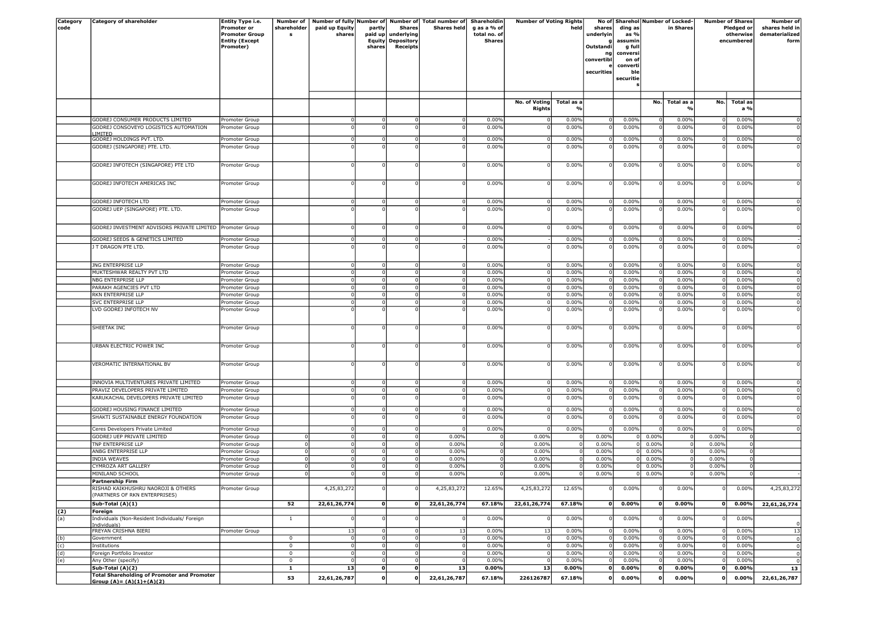| Category | <b>Category of shareholder</b>                            | Entity Type i.e.      | <b>Number of</b> |                |           |                          | Number of fully Number of Number of Total number of | Shareholdin   | <b>Number of Voting Rights</b> |                |                |           |                | No of Sharehol Number of Locked- |          | <b>Number of Shares</b> | Number of      |
|----------|-----------------------------------------------------------|-----------------------|------------------|----------------|-----------|--------------------------|-----------------------------------------------------|---------------|--------------------------------|----------------|----------------|-----------|----------------|----------------------------------|----------|-------------------------|----------------|
| code     |                                                           | <b>Promoter or</b>    | shareholder      | paid up Equity | partly    | <b>Shares</b>            | <b>Shares held</b>                                  | g as a % of   |                                | held           | shares         | ding as   |                | in Shares                        |          | Pledged or              | shares held in |
|          |                                                           | <b>Promoter Group</b> | s                | shares         | paid up   | underlying               |                                                     | total no. of  |                                |                | underlyin      | as %      |                |                                  |          | otherwise               | dematerialized |
|          |                                                           | <b>Entity (Except</b> |                  |                |           | Equity Depository        |                                                     | <b>Shares</b> |                                |                |                | assumin   |                |                                  |          | encumbered              | form           |
|          |                                                           | Promoter)             |                  |                | shares    | Receipts                 |                                                     |               |                                |                | Outstandi      | g full    |                |                                  |          |                         |                |
|          |                                                           |                       |                  |                |           |                          |                                                     |               |                                |                | ng             | conversi  |                |                                  |          |                         |                |
|          |                                                           |                       |                  |                |           |                          |                                                     |               |                                |                | convertibl     | on of     |                |                                  |          |                         |                |
|          |                                                           |                       |                  |                |           |                          |                                                     |               |                                |                |                | converti  |                |                                  |          |                         |                |
|          |                                                           |                       |                  |                |           |                          |                                                     |               |                                |                | securities     | ble       |                |                                  |          |                         |                |
|          |                                                           |                       |                  |                |           |                          |                                                     |               |                                |                |                | securitie |                |                                  |          |                         |                |
|          |                                                           |                       |                  |                |           |                          |                                                     |               |                                |                |                |           |                |                                  |          |                         |                |
|          |                                                           |                       |                  |                |           |                          |                                                     |               |                                |                |                |           |                |                                  |          |                         |                |
|          |                                                           |                       |                  |                |           |                          |                                                     |               | No. of Voting Total as a       |                |                |           | No.            | Total as a                       | No.      | <b>Total as</b>         |                |
|          |                                                           |                       |                  |                |           |                          |                                                     |               | Rights                         |                |                |           |                |                                  |          | a %                     |                |
|          |                                                           |                       |                  |                |           |                          |                                                     |               |                                |                |                |           |                |                                  |          |                         |                |
|          | GODREJ CONSUMER PRODUCTS LIMITED                          | Promoter Group        |                  |                |           | $\overline{0}$           |                                                     | 0.00%         |                                | 0.00%          | $\overline{0}$ | 0.00%     |                | 0.00%                            |          | 0.00%                   |                |
|          | GODREJ CONSOVEYO LOGISTICS AUTOMATION                     | Promoter Group        |                  |                |           |                          |                                                     | 0.00%         |                                | 0.00%          |                | 0.00%     |                | 0.00%                            |          | 0.00%                   | $\mathbf 0$    |
|          | IMITED                                                    |                       |                  |                |           |                          |                                                     |               |                                |                |                |           |                |                                  |          |                         |                |
|          | GODREJ HOLDINGS PVT. LTD.                                 | Promoter Group        |                  |                |           | $\overline{0}$           |                                                     | 0.00%         | $^{\circ}$                     | 0.00%          | 0              | 0.00%     |                | 0.00%                            |          | 0.00%                   | $\mathbf 0$    |
|          | GODREJ (SINGAPORE) PTE. LTD.                              | Promoter Group        |                  |                |           |                          |                                                     | 0.00%         |                                | 0.00%          |                | 0.00%     |                | 0.00%                            |          | 0.00%                   | $\overline{0}$ |
|          |                                                           |                       |                  |                |           |                          |                                                     |               |                                |                |                |           |                |                                  |          |                         |                |
|          | GODREJ INFOTECH (SINGAPORE) PTE LTD                       | Promoter Group        |                  |                |           |                          |                                                     | 0.00%         | $\Omega$                       | 0.00%          |                | 0.00%     |                | 0.00%                            |          | 0.00%                   | $\mathbf{0}$   |
|          |                                                           |                       |                  |                |           |                          |                                                     |               |                                |                |                |           |                |                                  |          |                         |                |
|          |                                                           |                       |                  |                |           |                          |                                                     |               |                                |                |                |           |                |                                  |          |                         |                |
|          | GODREJ INFOTECH AMERICAS INC                              | Promoter Group        |                  |                |           |                          |                                                     | 0.00%         | $\Omega$                       | 0.00%          |                | 0.00%     |                | 0.00%                            |          | 0.00%                   | $\mathbf 0$    |
|          |                                                           |                       |                  |                |           |                          |                                                     |               |                                |                |                |           |                |                                  |          |                         |                |
|          |                                                           |                       |                  |                |           |                          |                                                     |               |                                |                |                |           |                |                                  |          |                         |                |
|          | GODREJ INFOTECH LTD                                       | Promoter Group        |                  |                |           | 0                        |                                                     | 0.00%         | $\Omega$                       | 0.00%          | 0              | 0.00%     |                | 0.00%                            |          | 0.00%                   |                |
|          | GODREJ UEP (SINGAPORE) PTE. LTD.                          | Promoter Group        |                  |                |           |                          |                                                     | 0.00%         |                                | 0.00%          |                | 0.00%     |                | 0.00%                            |          | 0.00%                   | $\mathbf 0$    |
|          |                                                           |                       |                  |                |           |                          |                                                     |               |                                |                |                |           |                |                                  |          |                         |                |
|          |                                                           |                       |                  |                |           |                          |                                                     |               |                                |                |                |           |                |                                  |          |                         |                |
|          | GODREJ INVESTMENT ADVISORS PRIVATE LIMITED Promoter Group |                       |                  |                |           | $\Omega$                 |                                                     | 0.00%         | $\Omega$                       | 0.00%          |                | 0.00%     |                | 0.00%                            |          | 0.00%                   | $\mathbf 0$    |
|          |                                                           |                       |                  |                |           |                          |                                                     |               |                                |                |                |           |                |                                  |          |                         |                |
|          | GODREJ SEEDS & GENETICS LIMITED                           | Promoter Group        |                  |                |           | $\overline{0}$           |                                                     | 0.00%         |                                | 0.00%          | $\Omega$       | 0.00%     |                | 0.00%                            |          | 0.00%                   |                |
|          | I T DRAGON PTE LTD.                                       | Promoter Group        |                  |                |           |                          |                                                     | 0.00%         |                                | 0.00%          |                | 0.00%     |                | 0.00%                            |          | 0.00%                   | $\mathbf{0}$   |
|          |                                                           |                       |                  |                |           |                          |                                                     |               |                                |                |                |           |                |                                  |          |                         |                |
|          |                                                           |                       |                  |                |           |                          |                                                     |               |                                |                |                |           |                |                                  | $\Omega$ |                         |                |
|          | ING ENTERPRISE LLP                                        | Promoter Group        |                  |                |           | 0                        |                                                     | 0.00%         | $\circ$                        | 0.00%          | $\overline{0}$ | 0.00%     | $^{\circ}$     | 0.00%                            |          | 0.00%                   | $\mathbf{0}$   |
|          | MUKTESHWAR REALTY PVT LTD                                 | Promoter Group        |                  |                |           | 0                        | - 0                                                 | 0.00%         | $\overline{0}$                 | 0.00%          | 0              | 0.00%     | - 0            | 0.00%                            |          | 0.00%                   | $\overline{0}$ |
|          | NBG ENTERPRISE LLP                                        | Promoter Group        |                  |                |           | $\Omega$                 |                                                     | 0.00%         | $\Omega$                       | 0.00%          |                | 0.00%     |                | 0.00%                            |          | 0.00%                   | $\overline{0}$ |
|          | PARAKH AGENCIES PVT LTD                                   | Promoter Group        |                  |                |           | $\overline{0}$           |                                                     | 0.00%         | $^{\circ}$                     | 0.00%          | 0              | 0.00%     |                | 0.00%                            |          | 0.00%                   | $\mathbf 0$    |
|          | RKN ENTERPRISE LLP                                        | Promoter Group        |                  |                |           | -ol                      | 0                                                   | 0.00%         | $\circ$                        | 0.00%          | 0              | 0.00%     | - 0            | 0.00%                            |          | 0.00%                   | $\overline{0}$ |
|          | <b>SVC ENTERPRISE LLP</b>                                 | Promoter Group        |                  |                |           | $\overline{0}$           |                                                     | 0.00%         | $\Omega$                       | 0.00%          | 0              | 0.00%     |                | 0.00%                            |          | 0.00%                   | $\overline{0}$ |
|          | LVD GODREJ INFOTECH NV                                    | Promoter Group        |                  |                |           |                          |                                                     | 0.00%         |                                | 0.00%          |                | 0.00%     |                | 0.00%                            |          | 0.00%                   | $\mathbf 0$    |
|          |                                                           |                       |                  |                |           |                          |                                                     |               |                                |                |                |           |                |                                  |          |                         |                |
|          |                                                           |                       |                  |                |           |                          |                                                     |               |                                |                |                |           |                |                                  |          |                         |                |
|          | SHEETAK INC                                               | Promoter Group        |                  |                |           |                          |                                                     | 0.00%         | $\Omega$                       | 0.00%          | $^{\circ}$     | 0.00%     | - 0            | 0.00%                            |          | 0.00%                   | $\mathbf{0}$   |
|          |                                                           |                       |                  |                |           |                          |                                                     |               |                                |                |                |           |                |                                  |          |                         |                |
|          |                                                           |                       |                  |                |           |                          |                                                     |               |                                |                |                |           |                |                                  |          |                         |                |
|          | URBAN ELECTRIC POWER INC                                  | Promoter Group        |                  |                |           |                          |                                                     | 0.00%         |                                | 0.00%          | $\Omega$       | 0.00%     |                | 0.00%                            |          | 0.00%                   | $\overline{0}$ |
|          |                                                           |                       |                  |                |           |                          |                                                     |               |                                |                |                |           |                |                                  |          |                         |                |
|          | VEROMATIC INTERNATIONAL BV                                | Promoter Group        |                  |                |           | O                        |                                                     | 0.00%         |                                | 0.00%          |                | 0.00%     |                | 0.00%                            |          | 0.00%                   | $\Omega$       |
|          |                                                           |                       |                  |                |           |                          |                                                     |               |                                |                |                |           |                |                                  |          |                         |                |
|          |                                                           |                       |                  |                |           |                          |                                                     |               |                                |                |                |           |                |                                  |          |                         |                |
|          | INNOVIA MULTIVENTURES PRIVATE LIMITED                     | Promoter Group        |                  |                |           | $\overline{0}$           |                                                     | 0.00%         | $\overline{0}$                 | 0.00%          | 0              | 0.00%     |                | 0.00%                            |          | 0.00%                   | $\Omega$       |
|          | PRAVIZ DEVELOPERS PRIVATE LIMITED                         | Promoter Group        |                  |                |           | 0                        |                                                     | 0.00%         | $\Omega$                       | 0.00%          | $\Omega$       | 0.00%     |                | 0.00%                            |          | 0.00%                   | $\mathbf 0$    |
|          | KARUKACHAL DEVELOPERS PRIVATE LIMITED                     | Promoter Group        |                  |                |           |                          |                                                     | 0.00%         |                                | 0.00%          |                | 0.00%     |                | 0.00%                            |          | 0.00%                   | $\overline{0}$ |
|          |                                                           |                       |                  |                |           |                          |                                                     |               |                                |                |                |           |                |                                  |          |                         |                |
|          | GODREJ HOUSING FINANCE LIMITED                            | Promoter Group        |                  |                |           | 0                        |                                                     | 0.00%         | $\Omega$                       | 0.00%          | 0              | 0.00%     |                | 0.00%                            |          | 0.00%                   | $\mathbf{0}$   |
|          | SHAKTI SUSTAINABLE ENERGY FOUNDATION                      | Promoter Group        |                  |                |           |                          |                                                     | 0.00%         |                                | 0.00%          |                | 0.00%     |                | 0.00%                            |          | 0.00%                   | $\mathbf 0$    |
|          |                                                           |                       |                  |                |           |                          |                                                     |               |                                |                |                |           |                |                                  |          |                         |                |
|          | Ceres Developers Private Limited                          | Promoter Group        |                  |                |           | $\Omega$                 |                                                     | 0.00%         | 0                              | 0.00%          | $\Omega$       | 0.00%     |                | 0.00%                            |          | 0.00%                   | $\Omega$       |
|          | GODREJ UEP PRIVATE LIMITED                                | Promoter Group        | $\overline{0}$   |                |           | 0                        | 0.00%                                               |               | 0.00%                          |                | 0.00%          | $\Omega$  | 0.00%          |                                  | 0.00%    |                         |                |
|          | TNP ENTERPRISE LLP                                        | Promoter Group        | 0                |                |           | $\circ$                  | 0.00%                                               |               | 0.00%                          | $\overline{0}$ | 0.00%          | ΩI        | 0.00%          |                                  | 0.00%    |                         |                |
|          | ANBG ENTERPRISE LLP                                       | Promoter Group        | $\Omega$         |                |           | $\Omega$                 | 0.00%                                               |               | 0.00%                          | - 0            | 0.00%          | 0         | 0.00%          |                                  | 0.00%    |                         |                |
|          | <b>INDIA WEAVES</b>                                       | Promoter Group        | $^{\circ}$       |                |           | 0                        | 0.00%                                               |               | 0.00%                          | $\Omega$       | 0.00%          | ΩI        | 0.00%          |                                  | 0.00%    |                         |                |
|          |                                                           |                       |                  |                |           |                          |                                                     |               |                                |                |                |           |                |                                  |          |                         |                |
|          | CYMROZA ART GALLERY                                       | Promoter Group        | 0                |                |           | $\overline{0}$           | 0.00%                                               |               | 0.00%                          |                | 0.00%          |           | 0.00%          |                                  | 0.00%    |                         |                |
|          | MINILAND SCHOOL                                           | Promoter Group        |                  |                |           |                          | 0.00%                                               |               | 0.00%                          |                | 0.00%          |           | 0.00%          |                                  | 0.00%    |                         |                |
|          | Partnership Firm                                          |                       |                  |                |           |                          |                                                     |               |                                |                |                |           |                |                                  |          |                         |                |
|          | RISHAD KAIKHUSHRU NAOROJI & OTHERS                        | Promoter Group        |                  | 4,25,83,272    |           |                          | 4,25,83,272                                         | 12.65%        | 4,25,83,272                    | 12.65%         |                | $0.00\%$  |                | <b>0.00%</b>                     |          | <b>0.00%</b>            | 4, 25, 83, 212 |
|          | (PARTNERS OF RKN ENTERPRISES)                             |                       |                  |                |           |                          |                                                     |               |                                |                |                |           |                |                                  |          |                         |                |
|          | Sub-Total (A)(1)                                          |                       | 52               | 22,61,26,774   | 0         | 0                        | 22,61,26,774                                        | 67.18%        | 22,61,26,774                   | 67.18%         | 0              | 0.00%     | $\mathbf{0}$   | 0.00%                            | 0        | $0.00\%$                | 22,61,26,774   |
| (2)      | Foreign                                                   |                       |                  |                |           |                          |                                                     |               |                                |                |                |           |                |                                  |          |                         |                |
| (a)      | Individuals (Non-Resident Individuals/ Foreign            |                       | $\mathbf{1}$     |                |           |                          |                                                     | 0.00%         |                                | 0.00%          |                | 0.00%     |                | 0.00%                            |          | 0.00%                   |                |
|          | (ndividuals)                                              |                       |                  |                |           |                          |                                                     |               |                                |                |                |           |                |                                  |          |                         | $\Omega$       |
|          | FREYAN CRISHNA BIERI                                      | Promoter Group        |                  | 13             |           | 0                        | 13                                                  | 0.00%         | 13                             | 0.00%          | 0              | 0.00%     | - 0            | 0.00%                            |          | 0.00%                   | 13             |
| (b)      | Government                                                |                       | $\mathbf 0$      |                |           | $\mathbf 0$              |                                                     | 0.00%         | $\circ$                        | 0.00%          | $\overline{0}$ | 0.00%     | $^{\circ}$     | 0.00%                            |          | 0.00%                   | $\circ$        |
| (c)      | Institutions                                              |                       | $\mathbf 0$      | $\Omega$       |           | 0                        | $\Omega$                                            | 0.00%         | $\circ$                        | 0.00%          | $\mathbf 0$    | 0.00%     | $^{\circ}$     | 0.00%                            |          | 0.00%                   | $\circ$        |
|          |                                                           |                       |                  |                |           |                          |                                                     |               |                                |                |                |           |                |                                  |          |                         |                |
| (d)      | Foreign Portfolio Investor                                |                       | $\mathbf 0$      | $\Omega$       |           | 0                        | $\overline{0}$                                      | 0.00%         | $\circ$                        | 0.00%          | $\overline{0}$ | 0.00%     | $\overline{0}$ | 0.00%                            | $\Omega$ | 0.00%                   | $\circ$        |
| (e)      | Any Other (specify)                                       |                       | $\mathsf 0$      | $\epsilon$     |           | 0                        |                                                     | 0.00%         | 0                              | 0.00%          | $\overline{0}$ | 0.00%     | $\overline{0}$ | 0.00%                            |          | 0.00%                   | $\overline{0}$ |
|          | Sub-Total (A)(2)                                          |                       | 1                | 13             | οl        | $\overline{\phantom{a}}$ | 13                                                  | 0.00%         | 13                             | 0.00%          | $\mathbf{0}$   | $0.00\%$  | $\mathbf{0}$   | 0.00%                            | o        | 0.00%                   | 13             |
|          | <b>Total Shareholding of Promoter and Promoter</b>        |                       | 53               | 22,61,26,787   | $\bullet$ | $\mathbf{o}$             | 22,61,26,787                                        | 67.18%        | 226126787                      | 67.18%         | $\mathbf 0$    | $0.00\%$  | $\Omega$       | 0.00%                            |          | 0.00%                   | 22,61,26,787   |
|          | Group $(A) = (A)(1)+(A)(2)$                               |                       |                  |                |           |                          |                                                     |               |                                |                |                |           |                |                                  |          |                         |                |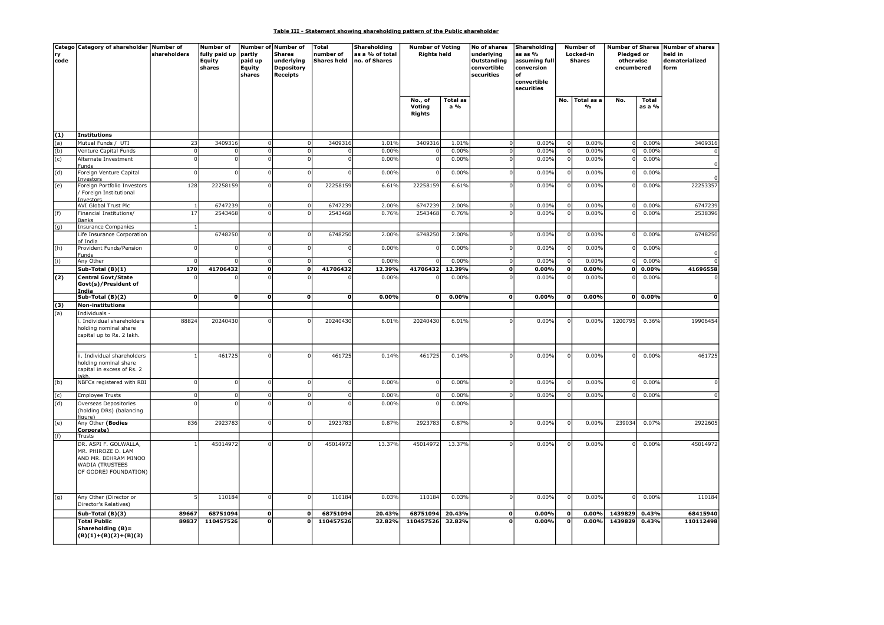## Table III - Statement showing shareholding pattern of the Public shareholder

| code | Catego Category of shareholder Number of                                                                               | shareholders   | <b>Number of</b><br>fully paid up<br>Equity<br>shares | partly<br>paid up<br>Equity<br>shares | Number of Number of<br><b>Shares</b><br>underlying<br><b>Depository</b><br><b>Receipts</b> | Total<br>number of<br><b>Shares held</b> | Shareholding<br>as a % of total<br>no. of Shares | <b>Number of Voting</b><br><b>Rights held</b> |                        | No of shares<br>underlying<br>Outstanding<br>convertible<br>securities | Shareholding<br>as as %<br>assuming full<br>conversion<br>nf<br>convertible<br>securities |              | Number of<br>Locked-in<br><b>Shares</b> | Pledged or<br>otherwise<br>encumbered |                        | Number of Shares Number of shares<br>held in<br>dematerialized<br>form |
|------|------------------------------------------------------------------------------------------------------------------------|----------------|-------------------------------------------------------|---------------------------------------|--------------------------------------------------------------------------------------------|------------------------------------------|--------------------------------------------------|-----------------------------------------------|------------------------|------------------------------------------------------------------------|-------------------------------------------------------------------------------------------|--------------|-----------------------------------------|---------------------------------------|------------------------|------------------------------------------------------------------------|
|      |                                                                                                                        |                |                                                       |                                       |                                                                                            |                                          |                                                  | No., of<br>Voting<br><b>Rights</b>            | <b>Total as</b><br>a % |                                                                        |                                                                                           | No.          | Total as a<br>%                         | No.                                   | <b>Total</b><br>as a % |                                                                        |
| (1)  | Institutions                                                                                                           |                |                                                       |                                       |                                                                                            |                                          |                                                  |                                               |                        |                                                                        |                                                                                           |              |                                         |                                       |                        |                                                                        |
| (a)  | Mutual Funds / UTI                                                                                                     | 23             | 3409316                                               | 0                                     | $\Omega$                                                                                   | 3409316                                  | 1.01%                                            | 3409316                                       | 1.01%                  | 0                                                                      | 0.00%                                                                                     | $\Omega$     | 0.00%                                   | $\circ$                               | 0.00%                  | 3409316                                                                |
| (b)  | Venture Capital Funds                                                                                                  | $\overline{0}$ |                                                       | ol                                    | $\Omega$                                                                                   |                                          | 0.00%                                            | $\overline{0}$                                | 0.00%                  | $\Omega$                                                               | 0.00%                                                                                     | $\Omega$     | 0.00%                                   | $\overline{0}$                        | 0.00%                  |                                                                        |
| (c)  | Alternate Investment<br>Funds                                                                                          | $\mathbf 0$    |                                                       | $\mathbf{0}$                          |                                                                                            |                                          | 0.00%                                            | $\Omega$                                      | 0.00%                  |                                                                        | 0.00%                                                                                     |              | 0.00%                                   | $\Omega$                              | 0.00%                  |                                                                        |
| (d)  | Foreign Venture Capital<br>Investors                                                                                   | 0              | $\Omega$                                              | 0                                     | $\Omega$                                                                                   |                                          | 0.00%                                            | $\Omega$                                      | 0.00%                  | $\Omega$                                                               | 0.00%                                                                                     |              | 0.00%                                   |                                       | 0.00%                  |                                                                        |
| (e)  | Foreign Portfolio Investors<br>/ Foreign Institutional<br>Investors                                                    | 128            | 22258159                                              | 0                                     | $\Omega$                                                                                   | 22258159                                 | 6.61%                                            | 22258159                                      | 6.61%                  | $\Omega$                                                               | 0.00%                                                                                     |              | 0.00%                                   | $\Omega$                              | 0.00%                  | 22253357                                                               |
|      | <b>AVI Global Trust Plc</b>                                                                                            | $\mathbf{1}$   | 6747239                                               | $\mathbf 0$                           | $\Omega$                                                                                   | 6747239                                  | 2.00%                                            | 6747239                                       | 2.00%                  | $\Omega$                                                               | 0.00%                                                                                     | -C           | 0.00%                                   | $\overline{0}$                        | 0.00%                  | 6747239                                                                |
| (f)  | Financial Institutions/<br>Banks                                                                                       | 17             | 2543468                                               | οI                                    |                                                                                            | 2543468                                  | 0.76%                                            | 2543468                                       | 0.76%                  |                                                                        | 0.00%                                                                                     |              | 0.00%                                   | $\Omega$                              | 0.00%                  | 2538396                                                                |
| (g)  | Insurance Companies<br>Life Insurance Corporation                                                                      | $\mathbf{1}$   | 6748250                                               | οI                                    | $\Omega$                                                                                   | 6748250                                  | 2.00%                                            | 6748250                                       | 2.00%                  | $\Omega$                                                               | 0.00%                                                                                     |              | 0.00%                                   |                                       | 0.00%                  | 6748250                                                                |
| (h)  | of India<br>Provident Funds/Pension                                                                                    | οI             |                                                       | -o I                                  | $\Omega$                                                                                   | $\Omega$                                 | 0.00%                                            | $\overline{0}$                                | 0.00%                  | $\Omega$                                                               | 0.00%                                                                                     |              | 0.00%                                   | $\Omega$                              | 0.00%                  |                                                                        |
| (i)  | Funds<br>Any Other                                                                                                     | $\mathbf 0$    |                                                       | 0                                     | $\overline{0}$                                                                             | $\Omega$                                 | 0.00%                                            | $\Omega$                                      | 0.00%                  | 0                                                                      | 0.00%                                                                                     | $\Omega$     | 0.00%                                   | $\overline{0}$                        | 0.00%                  |                                                                        |
|      | $Sub-Total(B)(1)$                                                                                                      | 170            | 41706432                                              | $\overline{\mathfrak{o}}$             | $\mathbf 0$                                                                                | 41706432                                 | 12.39%                                           | 41706432                                      | 12.39%                 | 0                                                                      | 0.00%                                                                                     | $\mathbf 0$  | 0.00%                                   | ol                                    | 0.00%                  | 41696558                                                               |
| (2)  | Central Govt/State<br>Govt(s)/President of                                                                             | $\Omega$       |                                                       | $\Omega$                              |                                                                                            |                                          | 0.00%                                            |                                               | 0.00%                  |                                                                        | 0.00%                                                                                     |              | 0.00%                                   | $\Omega$                              | 0.00%                  |                                                                        |
|      | India<br>Sub-Total (B)(2)                                                                                              | οl             | $\mathbf{o}$                                          | οl                                    | $\mathbf{0}$                                                                               | ΩI                                       | 0.00%                                            | οl                                            | 0.00%                  | ٥l                                                                     | 0.00%                                                                                     | $\mathbf 0$  | 0.00%                                   |                                       | $0 0.00\%$             | $\mathbf{0}$                                                           |
| (3)  | Non-institutions                                                                                                       |                |                                                       |                                       |                                                                                            |                                          |                                                  |                                               |                        |                                                                        |                                                                                           |              |                                         |                                       |                        |                                                                        |
| (a)  | Individuals -                                                                                                          |                |                                                       |                                       |                                                                                            |                                          |                                                  |                                               |                        |                                                                        |                                                                                           |              |                                         |                                       |                        |                                                                        |
|      | i. Individual shareholders<br>holding nominal share<br>capital up to Rs. 2 lakh.                                       | 88824          | 20240430                                              | -ol                                   |                                                                                            | 20240430                                 | 6.01%                                            | 20240430                                      | 6.01%                  |                                                                        | 0.00%                                                                                     | C            | 0.00%                                   | 1200795                               | 0.36%                  | 19906454                                                               |
|      | ii. Individual shareholders<br>holding nominal share<br>capital in excess of Rs. 2<br>lakh                             |                | 461725                                                | 0                                     | $\Omega$                                                                                   | 461725                                   | 0.14%                                            | 461725                                        | 0.14%                  | $\Omega$                                                               | 0.00%                                                                                     |              | 0.00%                                   |                                       | 0.00%                  | 461725                                                                 |
| (b)  | NBFCs registered with RBI                                                                                              | $\mathbf 0$    | $\Omega$                                              | 0                                     | $\Omega$                                                                                   | $\Omega$                                 | 0.00%                                            | $\overline{0}$                                | 0.00%                  | $\Omega$                                                               | 0.00%                                                                                     |              | 0.00%                                   | $\Omega$                              | 0.00%                  |                                                                        |
| (c)  | <b>Employee Trusts</b>                                                                                                 | $\overline{0}$ | $\Omega$                                              | 0                                     | $\Omega$                                                                                   | $\Omega$                                 | 0.00%                                            | $\overline{0}$                                | 0.00%                  | $\mathbf{0}$                                                           | 0.00%                                                                                     |              | 0.00%                                   | $\Omega$                              | 0.00%                  |                                                                        |
| (d)  | Overseas Depositories<br>(holding DRs) (balancing                                                                      | $\Omega$       |                                                       | $\mathbf{0}$                          |                                                                                            |                                          | 0.00%                                            |                                               | 0.00%                  |                                                                        |                                                                                           |              |                                         |                                       |                        |                                                                        |
| (e)  | figure)<br>Any Other (Bodies<br>Corporate)                                                                             | 836            | 2923783                                               | -o I                                  | $\Omega$                                                                                   | 2923783                                  | 0.87%                                            | 2923783                                       | 0.87%                  | $\Omega$                                                               | 0.00%                                                                                     | O            | 0.00%                                   | 239034                                | 0.07%                  | 2922605                                                                |
| (f)  | Trusts                                                                                                                 |                |                                                       |                                       |                                                                                            |                                          |                                                  |                                               |                        |                                                                        |                                                                                           |              |                                         |                                       |                        |                                                                        |
|      | DR. ASPI F. GOLWALLA,<br>MR. PHIROZE D. LAM<br>AND MR. BEHRAM MINOO<br><b>WADIA (TRUSTEES</b><br>OF GODREJ FOUNDATION) |                | 45014972                                              | $\Omega$                              |                                                                                            | 45014972                                 | 13.37%                                           | 45014972                                      | 13.37%                 |                                                                        | 0.00%                                                                                     |              | 0.00%                                   |                                       | 0.00%                  | 45014972                                                               |
| (g)  | Any Other (Director or<br>Director's Relatives)                                                                        | 5              | 110184                                                | 0                                     | $\Omega$                                                                                   | 110184                                   | 0.03%                                            | 110184                                        | 0.03%                  | $\Omega$                                                               | 0.00%                                                                                     |              | 0.00%                                   | $\Omega$                              | 0.00%                  | 110184                                                                 |
|      | Sub-Total (B)(3)                                                                                                       | 89667          | 68751094                                              | 0                                     | $\mathbf{o}$                                                                               | 68751094                                 | 20.43%                                           | 68751094                                      | 20.43%                 | 0                                                                      | 0.00%                                                                                     | $\Omega$     | 0.00%                                   | 1439829                               | 0.43%                  | 68415940                                                               |
|      | <b>Total Public</b><br>Shareholding (B)=<br>$(B)(1)+(B)(2)+(B)(3)$                                                     | 89837          | 110457526                                             | $\overline{0}$                        | $\Omega$                                                                                   | 110457526                                | 32.82%                                           | 110457526                                     | 32.82%                 | O                                                                      | 0.00%                                                                                     | $\mathbf{0}$ | 0.00%                                   | 1439829                               | 0.43%                  | 110112498                                                              |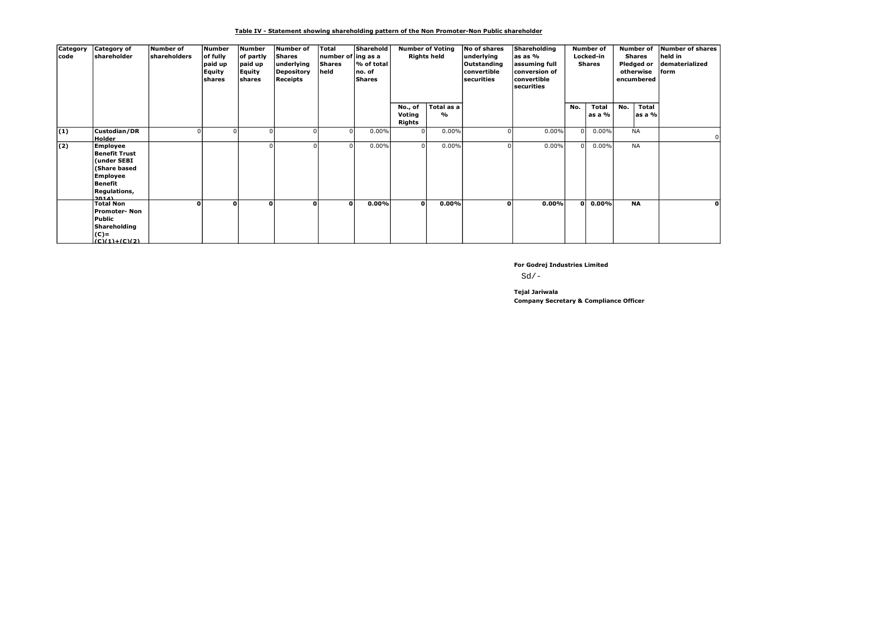Table IV - Statement showing shareholding pattern of the Non Promoter-Non Public shareholder

| Category<br>code | <b>Category of</b><br>shareholder                                                                                             | Number of<br><b>shareholders</b> | Number<br>of fully<br>paid up<br><b>Equity</b><br>shares | Number<br>of partly<br>paid up<br><b>Equity</b><br>shares | Number of<br>Shares<br>underlying<br>Depository<br><b>Receipts</b> | Total<br>number of ing as a<br><b>Shares</b><br>held | Sharehold<br>% of total<br>no. of<br>Shares |                             | <b>Number of Voting</b><br><b>Rights held</b> | No of shares<br>underlying<br>Outstanding<br>convertible<br>securities | Shareholding<br>as as %<br>assuming full<br>conversion of<br>convertible<br>securities |          | <b>Number of</b><br>Locked-in<br><b>Shares</b> |     | <b>Number of</b><br>Shares<br>Pledged or<br>otherwise<br>encumbered | Number of shares<br>held in<br>dematerialized<br>lform |
|------------------|-------------------------------------------------------------------------------------------------------------------------------|----------------------------------|----------------------------------------------------------|-----------------------------------------------------------|--------------------------------------------------------------------|------------------------------------------------------|---------------------------------------------|-----------------------------|-----------------------------------------------|------------------------------------------------------------------------|----------------------------------------------------------------------------------------|----------|------------------------------------------------|-----|---------------------------------------------------------------------|--------------------------------------------------------|
|                  |                                                                                                                               |                                  |                                                          |                                                           |                                                                    |                                                      |                                             | No., of<br>Voting<br>Rights | Total as a<br>%                               |                                                                        |                                                                                        | No.      | Total<br>as a %                                | No. | Total<br>as a %                                                     |                                                        |
| (1)              | Custodian/DR<br><b>Holder</b>                                                                                                 |                                  |                                                          | <sup>0</sup>                                              |                                                                    |                                                      | $0.00\%$                                    | ΩI                          | 0.00%                                         |                                                                        | $0.00\%$                                                                               | $\Omega$ | $0.00\%$                                       |     | <b>NA</b>                                                           |                                                        |
| (2)              | <b>Employee</b><br><b>Benefit Trust</b><br>(under SEBI<br>(Share based<br><b>Employee</b><br>Benefit<br>Regulations,<br>20141 |                                  |                                                          | <sup>0</sup>                                              |                                                                    |                                                      | $0.00\%$                                    | $\Omega$                    | 0.00%                                         |                                                                        | $0.00\%$                                                                               | $\Omega$ | $0.00\%$                                       |     | <b>NA</b>                                                           |                                                        |
|                  | <b>Total Non</b><br>Promoter- Non<br>Public<br>Shareholding<br>$(C)$ =<br>$(C)(1)+(C)(2)$                                     | O                                | O                                                        | $\Omega$                                                  | οl                                                                 | $\mathbf{0}$                                         | 0.00%                                       | οl                          | 0.00%                                         | O                                                                      | 0.00%                                                                                  | οl       | 0.00%                                          |     | <b>NA</b>                                                           |                                                        |

For Godrej Industries Limited

 $Sd/-$ 

Company Secretary & Compliance Officer Tejal Jariwala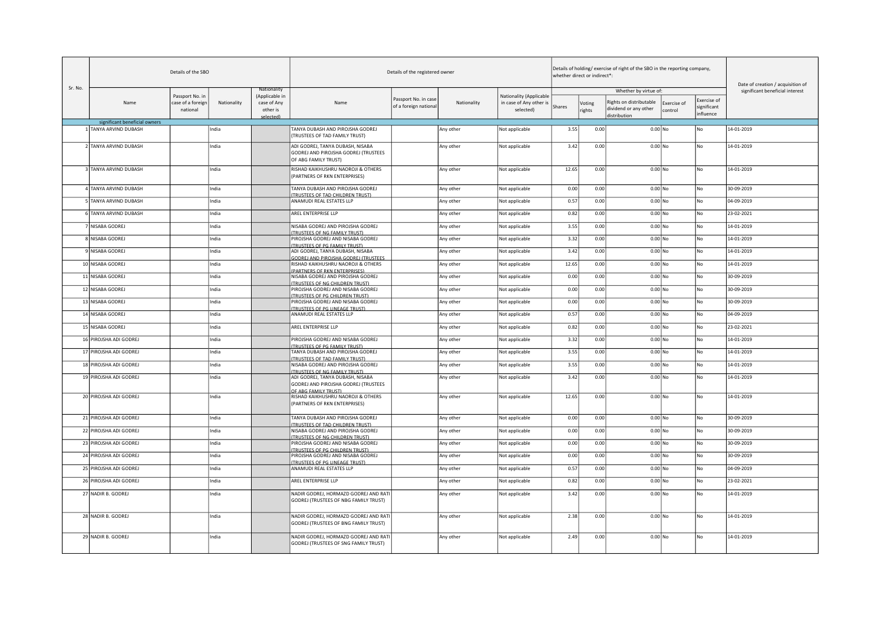|         |                               | Details of the SBO                               |             |                                           |                                                                                                  | Details of the registered owner               |             |                                                                 |        | whether direct or indirect*: | Details of holding/exercise of right of the SBO in the reporting company, |                        |                            | Date of creation / acquisition of |
|---------|-------------------------------|--------------------------------------------------|-------------|-------------------------------------------|--------------------------------------------------------------------------------------------------|-----------------------------------------------|-------------|-----------------------------------------------------------------|--------|------------------------------|---------------------------------------------------------------------------|------------------------|----------------------------|-----------------------------------|
| Sr. No. |                               |                                                  |             | Nationality                               |                                                                                                  |                                               |             |                                                                 |        |                              | Whether by virtue of:                                                     |                        |                            | significant beneficial interest   |
|         | Name                          | Passport No. in<br>case of a foreign<br>national | Nationality | (Applicable in<br>case of Any<br>other is | Name                                                                                             | Passport No. in case<br>of a foreign national | Nationality | Nationality (Applicable<br>in case of Any other is<br>selected) | Shares | Voting<br>rights             | Rights on distributable<br>dividend or any other                          | Exercise of<br>control | Exercise of<br>significant |                                   |
|         |                               |                                                  |             | selected)                                 |                                                                                                  |                                               |             |                                                                 |        |                              | distribution                                                              |                        | influence                  |                                   |
|         | significant beneficial owners |                                                  |             |                                           |                                                                                                  |                                               |             |                                                                 |        |                              |                                                                           |                        |                            |                                   |
|         | 1 TANYA ARVIND DUBASH         |                                                  | India       |                                           | TANYA DUBASH AND PIROJSHA GODREJ<br>(TRUSTEES OF TAD FAMILY TRUST)                               |                                               | Any other   | Not applicable                                                  | 3.55   | 0.00                         | $0.00$ No                                                                 |                        | No                         | 14-01-2019                        |
|         | 2 TANYA ARVIND DUBASH         |                                                  | India       |                                           | ADI GODREJ, TANYA DUBASH, NISABA<br>GODREJ AND PIROJSHA GODREJ (TRUSTEES<br>OF ABG FAMILY TRUST) |                                               | Any other   | Not applicable                                                  | 3.42   | 0.00                         | $0.00$ No                                                                 |                        | No                         | 14-01-2019                        |
|         | 3 TANYA ARVIND DUBASH         |                                                  | India       |                                           | RISHAD KAIKHUSHRU NAOROJI & OTHERS<br>(PARTNERS OF RKN ENTERPRISES)                              |                                               | Any other   | Not applicable                                                  | 12.65  | 0.00                         | $0.00$ No                                                                 |                        | No                         | 14-01-2019                        |
|         | 4 TANYA ARVIND DUBASH         |                                                  | India       |                                           | TANYA DUBASH AND PIROJSHA GODREJ<br>(TRUSTEES OF TAD CHILDREN TRUST)                             |                                               | Any other   | Not applicable                                                  | 0.00   | 0.00                         | $0.00$ No                                                                 |                        | No                         | 30-09-2019                        |
|         | 5 TANYA ARVIND DUBASH         |                                                  | India       |                                           | ANAMUDI REAL ESTATES LLP                                                                         |                                               | Any other   | Not applicable                                                  | 0.57   | 0.00                         | $0.00$ No                                                                 |                        | No                         | 04-09-2019                        |
|         | 6 TANYA ARVIND DUBASH         |                                                  | India       |                                           | AREL ENTERPRISE LLP                                                                              |                                               | Any other   | Not applicable                                                  | 0.82   | 0.00                         | $0.00$ No                                                                 |                        | No                         | 23-02-2021                        |
|         | 7 NISABA GODREJ               |                                                  | India       |                                           | NISABA GODREJ AND PIROJSHA GODREJ<br>(TRUSTEES OF NG FAMILY TRUST)                               |                                               | Any other   | Not applicable                                                  | 3.55   | 0.00                         | $0.00$ No                                                                 |                        | No                         | 14-01-2019                        |
|         | 8 NISABA GODREJ               |                                                  | India       |                                           | PIROJSHA GODREJ AND NISABA GODREJ<br>(TRUSTEES OF PG FAMILY TRUST)                               |                                               | Any other   | Not applicable                                                  | 3.32   | 0.00                         | $0.00$ No                                                                 |                        | No                         | 14-01-2019                        |
|         | 9 NISABA GODREJ               |                                                  | India       |                                           | ADI GODREJ, TANYA DUBASH, NISABA<br>GODREJ AND PIROJSHA GODREJ (TRUSTEES                         |                                               | Any other   | Not applicable                                                  | 3.42   | 0.00                         | $0.00$ No                                                                 |                        | No                         | 14-01-2019                        |
|         | 10 NISABA GODREJ              |                                                  | India       |                                           | RISHAD KAIKHUSHRU NAOROJI & OTHERS<br>(PARTNERS OF RKN ENTERPRISES)                              |                                               | Any other   | Not applicable                                                  | 12.65  | 0.00                         | $0.00$ No                                                                 |                        | No                         | 14-01-2019                        |
|         | 11 NISABA GODREJ              |                                                  | India       |                                           | NISABA GODREJ AND PIROJSHA GODREJ<br>(TRUSTEES OF NG CHILDREN TRUST)                             |                                               | Any other   | Not applicable                                                  | 0.00   | 0.00                         | $0.00$ No                                                                 |                        | No                         | 30-09-2019                        |
|         | 12 NISABA GODREJ              |                                                  | India       |                                           | PIROJSHA GODREJ AND NISABA GODREJ<br>(TRUSTEES OF PG CHILDREN TRUST)                             |                                               | Any other   | Not applicable                                                  | 0.00   | 0.00                         | $0.00$ No                                                                 |                        | No                         | 30-09-2019                        |
|         | 13 NISABA GODREJ              |                                                  | India       |                                           | PIROJSHA GODREJ AND NISABA GODREJ<br><b>TRUSTEES OF PG LINEAGE TRUST)</b>                        |                                               | Any other   | Not applicable                                                  | 0.00   | 0.00                         | $0.00$ No                                                                 |                        | No                         | 30-09-2019                        |
|         | 14 NISABA GODREJ              |                                                  | India       |                                           | ANAMUDI REAL ESTATES LLP                                                                         |                                               | Any other   | Not applicable                                                  | 0.57   | 0.00                         | $0.00$ No                                                                 |                        | No                         | 04-09-2019                        |
|         | 15 NISABA GODREJ              |                                                  | India       |                                           | AREL ENTERPRISE LLP                                                                              |                                               | Any other   | Not applicable                                                  | 0.82   | 0.00                         | $0.00$ No                                                                 |                        | No                         | 23-02-2021                        |
|         | 16 PIROJSHA ADI GODREJ        |                                                  | India       |                                           | PIROJSHA GODREJ AND NISABA GODREJ<br>(TRUSTEES OF PG FAMILY TRUST)                               |                                               | Any other   | Not applicable                                                  | 3.32   | 0.00                         | $0.00$ No                                                                 |                        | No                         | 14-01-2019                        |
|         | 17 PIROJSHA ADI GODREJ        |                                                  | India       |                                           | TANYA DUBASH AND PIROJSHA GODREJ<br>(TRUSTEES OF TAD FAMILY TRUST)                               |                                               | Any other   | Not applicable                                                  | 3.55   | 0.00                         | $0.00$ No                                                                 |                        | No                         | 14-01-2019                        |
|         | 18 PIROJSHA ADI GODREJ        |                                                  | India       |                                           | NISABA GODREJ AND PIROJSHA GODREJ<br>(TRUSTEES OF NG FAMILY TRUST)                               |                                               | Any other   | Not applicable                                                  | 3.55   | 0.00                         | $0.00$ No                                                                 |                        | No                         | 14-01-2019                        |
|         | 19 PIROJSHA ADI GODREJ        |                                                  | India       |                                           | ADI GODREJ, TANYA DUBASH, NISABA<br>GODREJ AND PIROJSHA GODREJ (TRUSTEES<br>OF ABG FAMILY TRUSTI |                                               | Any other   | Not applicable                                                  | 3.42   | 0.00                         | $0.00$ No                                                                 |                        | No                         | 14-01-2019                        |
|         | 20 PIROJSHA ADI GODREJ        |                                                  | India       |                                           | RISHAD KAIKHUSHRU NAOROJI & OTHERS<br>(PARTNERS OF RKN ENTERPRISES)                              |                                               | Any other   | Not applicable                                                  | 12.65  | 0.00                         | $0.00$ No                                                                 |                        | No                         | 14-01-2019                        |
|         | 21 PIROJSHA ADI GODREJ        |                                                  | India       |                                           | TANYA DUBASH AND PIROJSHA GODREJ<br><b>TRUSTEES OF TAD CHILDREN TRUST)</b>                       |                                               | Any other   | Not applicable                                                  | 0.00   | 0.00                         | $0.00$ No                                                                 |                        | No                         | 30-09-2019                        |
|         | 22 PIROJSHA ADI GODREJ        |                                                  | India       |                                           | NISABA GODREJ AND PIROJSHA GODREJ<br>(TRUSTEES OF NG CHILDREN TRUST)                             |                                               | Any other   | Not applicable                                                  | 0.00   | 0.00                         | $0.00$ No                                                                 |                        | No                         | 30-09-2019                        |
|         | 23 PIROJSHA ADI GODREJ        |                                                  | India       |                                           | PIROJSHA GODREJ AND NISABA GODREJ<br>(TRUSTEES OF PG CHILDREN TRUST)                             |                                               | Any other   | Not applicable                                                  | 0.00   | 0.00                         | $0.00$ No                                                                 |                        | No                         | 30-09-2019                        |
|         | 24 PIROJSHA ADI GODREJ        |                                                  | India       |                                           | PIROJSHA GODREJ AND NISABA GODREJ<br>(TRUSTEES OF PG LINEAGE TRUST)                              |                                               | Any other   | Not applicable                                                  | 0.00   | 0.00                         | $0.00$ No                                                                 |                        | No                         | 30-09-2019                        |
|         | 25 PIROJSHA ADI GODREJ        |                                                  | India       |                                           | ANAMUDI REAL ESTATES LLP                                                                         |                                               | Any other   | Not applicable                                                  | 0.57   | 0.00                         | $0.00$ No                                                                 |                        | No                         | 04-09-2019                        |
|         | 26 PIROJSHA ADI GODREJ        |                                                  | India       |                                           | AREL ENTERPRISE LLP                                                                              |                                               | Any other   | Not applicable                                                  | 0.82   | 0.00                         | $0.00$ No                                                                 |                        | No                         | 23-02-2021                        |
|         | 27 NADIR B. GODREJ            |                                                  | India       |                                           | NADIR GODREJ, HORMAZD GODREJ AND RAT<br>GODREJ (TRUSTEES OF NBG FAMILY TRUST)                    |                                               | Any other   | Not applicable                                                  | 3.42   | 0.00                         | $0.00$ No                                                                 |                        | No                         | 14-01-2019                        |
|         | 28 NADIR B. GODREJ            |                                                  | India       |                                           | NADIR GODREJ, HORMAZD GODREJ AND RATI<br>GODREJ (TRUSTEES OF BNG FAMILY TRUST)                   |                                               | Any other   | Not applicable                                                  | 2.38   | 0.00                         | $0.00$ No                                                                 |                        | No                         | 14-01-2019                        |
|         | 29 NADIR B. GODREJ            |                                                  | India       |                                           | NADIR GODREJ, HORMAZD GODREJ AND RATI<br>GODREJ (TRUSTEES OF SNG FAMILY TRUST)                   |                                               | Any other   | Not applicable                                                  | 2.49   | 0.00                         | $0.00$ No                                                                 |                        | No                         | 14-01-2019                        |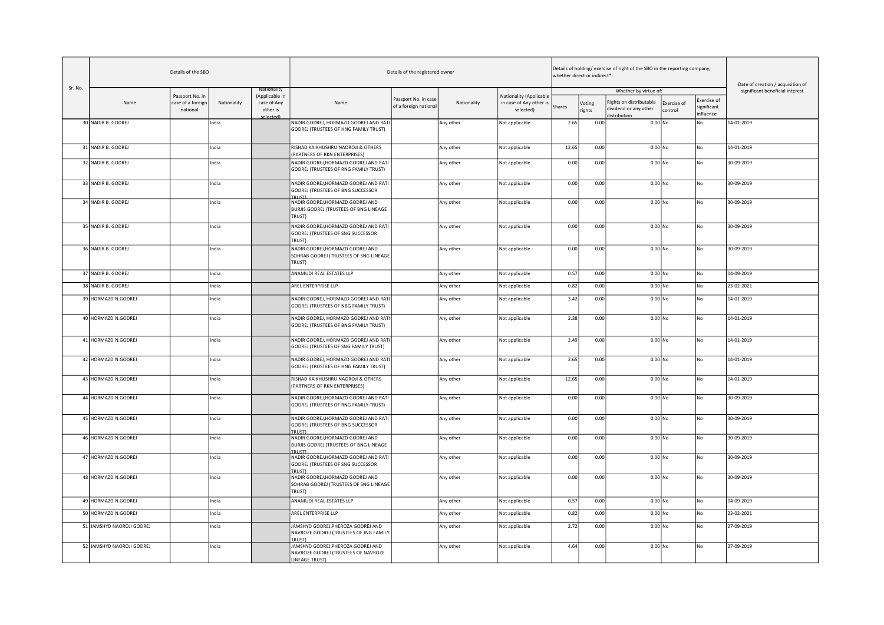| Sr. No. |                           | Details of the SBO                               |             |                                                          |                                                                                             | Details of the registered owner               |             |                                                                 |        | whether direct or indirect*: | Details of holding/exercise of right of the SBO in the reporting company, |                        |                                         | Date of creation / acquisition of |
|---------|---------------------------|--------------------------------------------------|-------------|----------------------------------------------------------|---------------------------------------------------------------------------------------------|-----------------------------------------------|-------------|-----------------------------------------------------------------|--------|------------------------------|---------------------------------------------------------------------------|------------------------|-----------------------------------------|-----------------------------------|
|         | Name                      | Passport No. in<br>case of a foreign<br>national | Nationality | Nationality<br>(Applicable in<br>case of Any<br>other is | Name                                                                                        | Passport No. in case<br>of a foreign national | Nationality | Nationality (Applicable<br>in case of Any other is<br>selected) | Shares | Voting<br>ights              | Whether by virtue of:<br>Rights on distributable<br>dividend or any other | Exercise of<br>control | Exercise of<br>significant<br>influence | significant beneficial interest   |
|         | 30 NADIR B. GODREJ        |                                                  | India       | colortodl                                                | NADIR GODREJ, HORMAZD GODREJ AND RATI<br>GODREJ (TRUSTEES OF HNG FAMILY TRUST)              |                                               | Any other   | Not applicable                                                  | 2.65   | 0.00                         | distribution<br>$0.00$ No                                                 |                        | No                                      | 14-01-2019                        |
|         | 31 NADIR B. GODREJ        |                                                  | India       |                                                          | RISHAD KAIKHUSHRU NAOROJI & OTHERS<br>(PARTNERS OF RKN ENTERPRISES)                         |                                               | Any other   | Not applicable                                                  | 12.65  | 0.00                         | $\overline{0.00}$ No                                                      |                        | No                                      | 14-01-2019                        |
|         | 32 NADIR B. GODREJ        |                                                  | India       |                                                          | NADIR GODREJ, HORMAZD GODREJ AND RATI<br>GODREJ (TRUSTEES OF RNG FAMILY TRUST)              |                                               | Any other   | Not applicable                                                  | 0.00   | 0.00                         | $0.00$ No                                                                 |                        | No                                      | 30-09-2019                        |
|         | 33 NADIR B. GODREJ        |                                                  | India       |                                                          | NADIR GODREJ, HORMAZD GODREJ AND RATI<br>GODREJ (TRUSTEES OF BNG SUCCESSOR<br><b>TRUSTI</b> |                                               | Any other   | Not applicable                                                  | 0.00   | 0.00                         | $0.00$ No                                                                 |                        | No                                      | 30-09-2019                        |
|         | 34 NADIR B. GODREJ        |                                                  | India       |                                                          | NADIR GODREJ, HORMAZD GODREJ AND<br>BURJIS GODREJ (TRUSTEES OF BNG LINEAGE<br>TRUST)        |                                               | Any other   | Not applicable                                                  | 0.00   | 0.00                         | $0.00$ No                                                                 |                        | No                                      | 30-09-2019                        |
|         | 35 NADIR B. GODREJ        |                                                  | India       |                                                          | NADIR GODREJ, HORMAZD GODREJ AND RATI<br>GODREJ (TRUSTEES OF SNG SUCCESSOR<br>TRUST)        |                                               | Any other   | Not applicable                                                  | 0.00   | 0.00                         | $0.00$ No                                                                 |                        | No                                      | 30-09-2019                        |
|         | 36 NADIR B. GODREJ        |                                                  | India       |                                                          | NADIR GODREJ, HORMAZD GODREJ AND<br>SOHRAB GODREJ (TRUSTEES OF SNG LINEAGE<br>TRUST)        |                                               | Any other   | Not applicable                                                  | 0.00   | 0.00                         | $0.00$ No                                                                 |                        | No                                      | 30-09-2019                        |
|         | 37 NADIR B. GODREJ        |                                                  | India       |                                                          | ANAMUDI REAL ESTATES LLP                                                                    |                                               | Any other   | Not applicable                                                  | 0.57   | 0.00                         | $0.00$ No                                                                 |                        | No                                      | 04-09-2019                        |
|         | 38 NADIR B. GODREJ        |                                                  | India       |                                                          | AREL ENTERPRISE LLP                                                                         |                                               | Any other   | Not applicable                                                  | 0.82   | 0.00                         | $0.00$ No                                                                 |                        | No                                      | 23-02-2021                        |
|         | 39 HORMAZD N.GODREJ       |                                                  | India       |                                                          | NADIR GODREJ, HORMAZD GODREJ AND RATI<br>GODREJ (TRUSTEES OF NBG FAMILY TRUST)              |                                               | Any other   | Not applicable                                                  | 3.42   | 0.00                         | $0.00$ No                                                                 |                        | No                                      | 14-01-2019                        |
|         | 40 HORMAZD N.GODREJ       |                                                  | India       |                                                          | NADIR GODREJ, HORMAZD GODREJ AND RATI<br>GODREJ (TRUSTEES OF BNG FAMILY TRUST)              |                                               | Any other   | Not applicable                                                  | 2.38   | 0.00                         | $0.00$ No                                                                 |                        | No                                      | 14-01-2019                        |
|         | 41 HORMAZD N.GODREJ       |                                                  | India       |                                                          | NADIR GODREJ, HORMAZD GODREJ AND RATI<br>GODREJ (TRUSTEES OF SNG FAMILY TRUST)              |                                               | Any other   | Not applicable                                                  | 2.49   | 0.00                         | $0.00$ No                                                                 |                        | No                                      | 14-01-2019                        |
|         | 42 HORMAZD N.GODREJ       |                                                  | India       |                                                          | NADIR GODREJ, HORMAZD GODREJ AND RATI<br>GODREJ (TRUSTEES OF HNG FAMILY TRUST)              |                                               | Any other   | Not applicable                                                  | 2.65   | 0.00                         | $0.00$ No                                                                 |                        | No                                      | 14-01-2019                        |
|         | 43 HORMAZD N.GODREJ       |                                                  | India       |                                                          | RISHAD KAIKHUSHRU NAOROJI & OTHERS<br>(PARTNERS OF RKN ENTERPRISES)                         |                                               | Any other   | Not applicable                                                  | 12.65  | 0.00                         | $0.00$ No                                                                 |                        | No                                      | 14-01-2019                        |
|         | 44 HORMAZD N.GODREJ       |                                                  | India       |                                                          | NADIR GODREJ, HORMAZD GODREJ AND RATI<br>GODREJ (TRUSTEES OF RNG FAMILY TRUST)              |                                               | Any other   | Not applicable                                                  | 0.00   | 0.00                         | $0.00$ No                                                                 |                        | No                                      | 30-09-2019                        |
|         | 45 HORMAZD N.GODREJ       |                                                  | India       |                                                          | NADIR GODREJ, HORMAZD GODREJ AND RATI<br>GODREJ (TRUSTEES OF BNG SUCCESSOR<br><b>TRUST)</b> |                                               | Any other   | Not applicable                                                  | 0.00   | 0.00                         | $0.00$ No                                                                 |                        | No                                      | 30-09-2019                        |
|         | 46 HORMAZD N.GODREJ       |                                                  | India       |                                                          | NADIR GODREJ, HORMAZD GODREJ AND<br>BURJIS GODREJ (TRUSTEES OF BNG LINEAGE<br><b>TRUST)</b> |                                               | Any other   | Not applicable                                                  | 0.00   | 0.00                         | $0.00$ No                                                                 |                        | No                                      | 30-09-2019                        |
|         | 47 HORMAZD N.GODREJ       |                                                  | India       |                                                          | NADIR GODREJ, HORMAZD GODREJ AND RATI<br>GODREJ (TRUSTEES OF SNG SUCCESSOR<br>TRUST)        |                                               | Any other   | Not applicable                                                  | 0.00   | 0.00                         | $0.00$ No                                                                 |                        | No                                      | 30-09-2019                        |
|         | 48 HORMAZD N.GODREJ       |                                                  | India       |                                                          | NADIR GODREJ, HORMAZD GODREJ AND<br>SOHRAB GODREJ (TRUSTEES OF SNG LINEAGE<br>TRUST)        |                                               | Any other   | Not applicable                                                  | 0.00   | 0.00                         | $0.00$ No                                                                 |                        | No                                      | 30-09-2019                        |
|         | 49 HORMAZD N.GODREJ       |                                                  | India       |                                                          | ANAMUDI REAL ESTATES LLP                                                                    |                                               | Any other   | Not applicable                                                  | 0.57   | 0.00                         | $0.00$ No                                                                 |                        | No                                      | 04-09-2019                        |
|         | 50 HORMAZD N.GODREJ       |                                                  | India       |                                                          | AREL ENTERPRISE LLP                                                                         |                                               | Any other   | Not applicable                                                  | 0.82   | 0.00                         | $0.00$ No                                                                 |                        | No                                      | 23-02-2021                        |
|         | 51 JAMSHYD NAOROJI GODREJ |                                                  | India       |                                                          | JAMSHYD GODREJ, PHEROZA GODREJ AND<br>NAVROZE GODREJ (TRUSTEES OF JNG FAMILY<br>TRUST)      |                                               | Any other   | Not applicable                                                  | 2.72   | 0.00                         | $0.00$ No                                                                 |                        | No                                      | 27-09-2019                        |
|         | 52 JAMSHYD NAOROJI GODREJ |                                                  | India       |                                                          | JAMSHYD GODREJ, PHEROZA GODREJ AND<br>NAVROZE GODREJ (TRUSTEES OF NAVROZE<br>LINEAGE TRUST) |                                               | Any other   | Not applicable                                                  | 4.64   | 0.00                         | $0.00$ No                                                                 |                        | No                                      | 27-09-2019                        |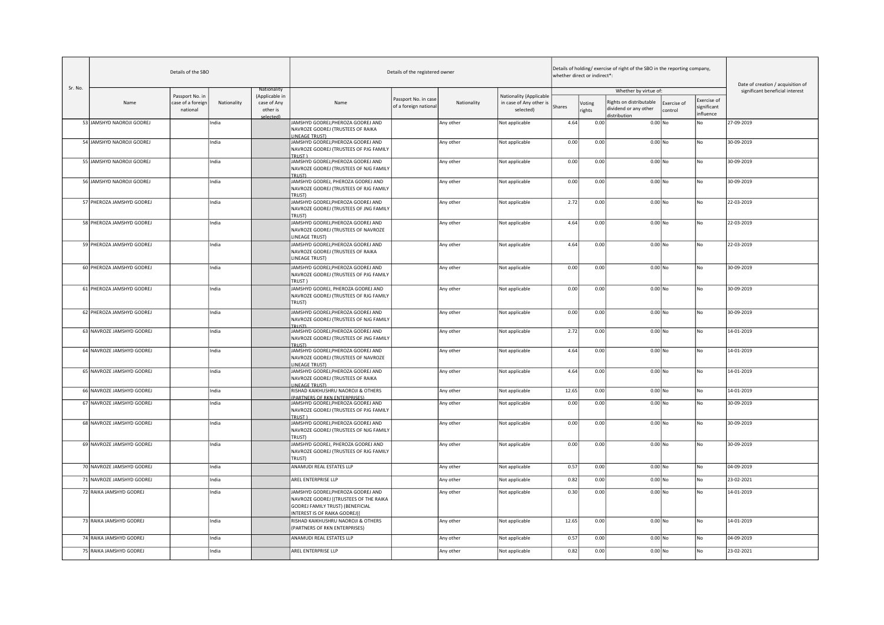|         |                           | Details of the SBO                               |             |                                                       |                                                                                                                                                   | Details of the registered owner               |             |                                                                 |        | whether direct or indirect*: | Details of holding/ exercise of right of the SBO in the reporting company, |                        |                                         | Date of creation / acquisition of |
|---------|---------------------------|--------------------------------------------------|-------------|-------------------------------------------------------|---------------------------------------------------------------------------------------------------------------------------------------------------|-----------------------------------------------|-------------|-----------------------------------------------------------------|--------|------------------------------|----------------------------------------------------------------------------|------------------------|-----------------------------------------|-----------------------------------|
| Sr. No. |                           |                                                  |             | Nationality                                           |                                                                                                                                                   |                                               |             |                                                                 |        |                              | Whether by virtue of:                                                      |                        |                                         | significant beneficial interest   |
|         | Name                      | Passport No. in<br>case of a foreign<br>national | Nationality | (Applicable in<br>case of Any<br>other is<br>elected] | Name                                                                                                                                              | Passport No. in case<br>of a foreign national | Nationality | Nationality (Applicable<br>in case of Any other is<br>selected) | Shares | Voting<br>rights             | Rights on distributable<br>dividend or any other<br>listribution           | Exercise of<br>control | Exercise of<br>significant<br>influence |                                   |
|         | 53 JAMSHYD NAOROJI GODREJ |                                                  | India       |                                                       | JAMSHYD GODREJ, PHEROZA GODREJ AND<br>NAVROZE GODREJ (TRUSTEES OF RAIKA<br><b>LINEAGE TRUST)</b>                                                  |                                               | Any other   | Not applicable                                                  | 4.64   | 0.00                         | $0.00$ No                                                                  |                        | No                                      | 27-09-2019                        |
|         | 54 JAMSHYD NAOROJI GODREJ |                                                  | India       |                                                       | JAMSHYD GODREJ, PHEROZA GODREJ AND<br>NAVROZE GODREJ (TRUSTEES OF PJG FAMILY<br>TRUST <sub>1</sub>                                                |                                               | Any other   | Not applicable                                                  | 0.00   | 0.00                         | $0.00$ No                                                                  |                        | No                                      | 30-09-2019                        |
|         | 55 JAMSHYD NAOROJI GODREJ |                                                  | India       |                                                       | JAMSHYD GODREJ, PHEROZA GODREJ AND<br>NAVROZE GODREJ (TRUSTEES OF NJG FAMILY<br>TRUST)                                                            |                                               | Any other   | Not applicable                                                  | 0.00   | 0.00                         | $0.00$ No                                                                  |                        | No                                      | 30-09-2019                        |
|         | 56 JAMSHYD NAOROJI GODREJ |                                                  | India       |                                                       | JAMSHYD GODREJ, PHEROZA GODREJ AND<br>NAVROZE GODREJ (TRUSTEES OF RJG FAMILY<br>TRUST)                                                            |                                               | Any other   | Not applicable                                                  | 0.00   | 0.00                         | $0.00$ No                                                                  |                        | No                                      | 30-09-2019                        |
|         | 57 PHEROZA JAMSHYD GODREJ |                                                  | India       |                                                       | JAMSHYD GODREJ, PHEROZA GODREJ AND<br>NAVROZE GODREJ (TRUSTEES OF JNG FAMILY<br>TRUST)                                                            |                                               | Any other   | Not applicable                                                  | 2.72   | 0.00                         | $0.00$ No                                                                  |                        | No                                      | 22-03-2019                        |
|         | 58 PHEROZA JAMSHYD GODREJ |                                                  | India       |                                                       | JAMSHYD GODREJ, PHEROZA GODREJ AND<br>NAVROZE GODREJ (TRUSTEES OF NAVROZE<br>LINEAGE TRUST)                                                       |                                               | Any other   | Not applicable                                                  | 4.64   | 0.00                         | $0.00$ No                                                                  |                        | No                                      | 22-03-2019                        |
|         | 59 PHEROZA JAMSHYD GODREJ |                                                  | India       |                                                       | JAMSHYD GODREJ, PHEROZA GODREJ AND<br>NAVROZE GODREJ (TRUSTEES OF RAIKA<br>LINEAGE TRUST)                                                         |                                               | Any other   | Not applicable                                                  | 4.64   | 0.00                         | $0.00$ No                                                                  |                        | No                                      | 22-03-2019                        |
|         | 60 PHEROZA JAMSHYD GODREJ |                                                  | India       |                                                       | JAMSHYD GODREJ, PHEROZA GODREJ AND<br>NAVROZE GODREJ (TRUSTEES OF PJG FAMILY<br><b>TRUST</b>                                                      |                                               | Any other   | Not applicable                                                  | 0.00   | 0.00                         | $0.00$ No                                                                  |                        | No                                      | 30-09-2019                        |
|         | 61 PHEROZA JAMSHYD GODREJ |                                                  | India       |                                                       | JAMSHYD GODREJ, PHEROZA GODREJ AND<br>NAVROZE GODREJ (TRUSTEES OF RJG FAMILY<br>TRUST)                                                            |                                               | Any other   | Not applicable                                                  | 0.00   | 0.00                         | $0.00$ No                                                                  |                        | No                                      | 30-09-2019                        |
|         | 62 PHEROZA JAMSHYD GODREJ |                                                  | India       |                                                       | JAMSHYD GODREJ, PHEROZA GODREJ AND<br>NAVROZE GODREJ (TRUSTEES OF NJG FAMILY<br><b>TRIJSTI</b>                                                    |                                               | Any other   | Not applicable                                                  | 0.00   | 0.00                         | $0.00$ No                                                                  |                        | No                                      | 30-09-2019                        |
|         | 63 NAVROZE JAMSHYD GODREJ |                                                  | India       |                                                       | JAMSHYD GODREJ, PHEROZA GODREJ AND<br>NAVROZE GODREJ (TRUSTEES OF JNG FAMILY<br><b>TRUSTI</b>                                                     |                                               | Any other   | Not applicable                                                  | 2.72   | 0.00                         | $0.00$ No                                                                  |                        | No                                      | 14-01-2019                        |
|         | 64 NAVROZE JAMSHYD GODREJ |                                                  | India       |                                                       | JAMSHYD GODREJ, PHEROZA GODREJ AND<br>NAVROZE GODREJ (TRUSTEES OF NAVROZE<br>LINEAGE TRUST)                                                       |                                               | Any other   | Not applicable                                                  | 4.64   | 0.00                         | $0.00$ No                                                                  |                        | No                                      | 14-01-2019                        |
|         | 65 NAVROZE JAMSHYD GODREJ |                                                  | India       |                                                       | JAMSHYD GODREJ, PHEROZA GODREJ AND<br>NAVROZE GODREJ (TRUSTEES OF RAIKA<br><b>INFAGE TRUST)</b>                                                   |                                               | Any other   | Not applicable                                                  | 4.64   | 0.00                         | $0.00$ No                                                                  |                        | No                                      | 14-01-2019                        |
|         | 66 NAVROZE JAMSHYD GODREJ |                                                  | India       |                                                       | RISHAD KAIKHUSHRU NAOROJI & OTHERS<br>(PARTNERS OF RKN ENTERPRISES)                                                                               |                                               | Any other   | Not applicable                                                  | 12.65  | 0.00                         | $0.00$ No                                                                  |                        | No                                      | 14-01-2019                        |
|         | 67 NAVROZE JAMSHYD GODREJ |                                                  | India       |                                                       | JAMSHYD GODREJ, PHEROZA GODREJ AND<br>NAVROZE GODREJ (TRUSTEES OF PJG FAMILY<br>TRUST)                                                            |                                               | Any other   | Not applicable                                                  | 0.00   | 0.00                         | $0.00$ No                                                                  |                        | No                                      | 30-09-2019                        |
|         | 68 NAVROZE JAMSHYD GODREJ |                                                  | India       |                                                       | JAMSHYD GODREJ, PHEROZA GODREJ AND<br>NAVROZE GODREJ (TRUSTEES OF NJG FAMILY<br>TRUST)                                                            |                                               | Any other   | Not applicable                                                  | 0.00   | 0.00                         | $0.00$ No                                                                  |                        | No                                      | 30-09-2019                        |
|         | 69 NAVROZE JAMSHYD GODREJ |                                                  | India       |                                                       | JAMSHYD GODREJ, PHEROZA GODREJ AND<br>NAVROZE GODREJ (TRUSTEES OF RJG FAMILY<br>TRUST)                                                            |                                               | Any other   | Not applicable                                                  | 0.00   | 0.00                         | $0.00$ No                                                                  |                        | No                                      | 30-09-2019                        |
|         | 70 NAVROZE JAMSHYD GODREJ |                                                  | India       |                                                       | ANAMUDI REAL ESTATES LLP                                                                                                                          |                                               | Any other   | Not applicable                                                  | 0.57   | 0.00                         | $0.00$ No                                                                  |                        | No                                      | 04-09-2019                        |
|         | 71 NAVROZE JAMSHYD GODREJ |                                                  | India       |                                                       | AREL ENTERPRISE LLP                                                                                                                               |                                               | Any other   | Not applicable                                                  | 0.82   | 0.00                         | $0.00$ No                                                                  |                        | No                                      | 23-02-2021                        |
|         | 72 RAIKA JAMSHYD GODREJ   |                                                  | India       |                                                       | JAMSHYD GODREJ, PHEROZA GODREJ AND<br>NAVROZE GODREJ [(TRUSTEES OF THE RAIKA<br>GODREJ FAMILY TRUST) (BENEFICIAL<br>INTEREST IS OF RAIKA GODREJ)] |                                               | Any other   | Not applicable                                                  | 0.30   | 0.00                         | $0.00$ No                                                                  |                        | No                                      | 14-01-2019                        |
|         | 73 RAIKA JAMSHYD GODREJ   |                                                  | India       |                                                       | RISHAD KAIKHUSHRU NAOROJI & OTHERS<br>(PARTNERS OF RKN ENTERPRISES)                                                                               |                                               | Any other   | Not applicable                                                  | 12.65  | 0.00                         | $0.00$ No                                                                  |                        | No                                      | 14-01-2019                        |
|         | 74 RAIKA JAMSHYD GODREJ   |                                                  | India       |                                                       | ANAMUDI REAL ESTATES LLP                                                                                                                          |                                               | Any other   | Not applicable                                                  | 0.57   | 0.00                         | $0.00$ No                                                                  |                        | No                                      | 04-09-2019                        |
|         | 75 RAIKA JAMSHYD GODREJ   |                                                  | India       |                                                       | AREL ENTERPRISE LLP                                                                                                                               |                                               | Any other   | Not applicable                                                  | 0.82   | 0.00                         | $0.00$ No                                                                  |                        | No                                      | 23-02-2021                        |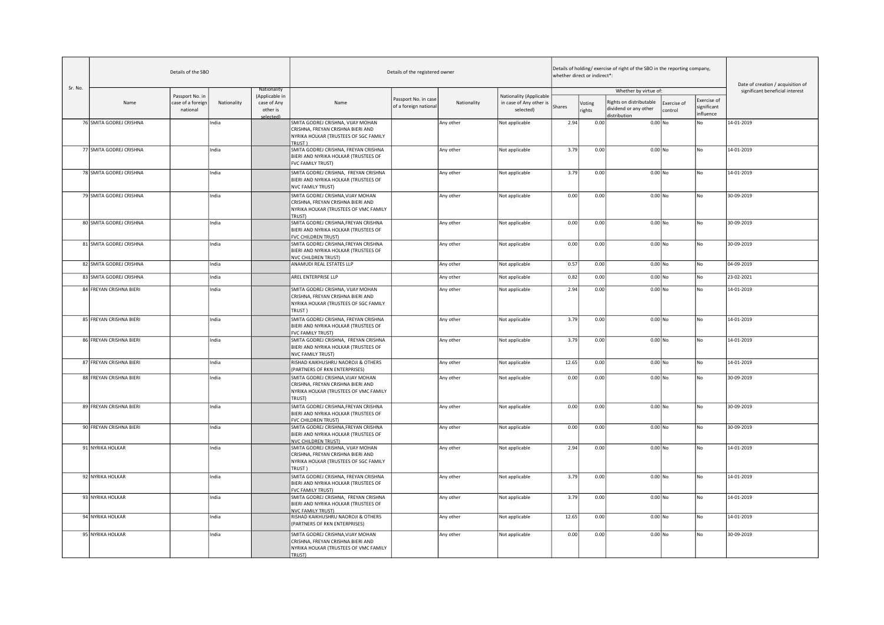|         |                         | Details of the SBO                               |             |                                                        |                                                                                                                           | Details of the registered owner               |             |                                                                 |        | whether direct or indirect*: | Details of holding/exercise of right of the SBO in the reporting company, |                        |                                         | Date of creation / acquisition of |
|---------|-------------------------|--------------------------------------------------|-------------|--------------------------------------------------------|---------------------------------------------------------------------------------------------------------------------------|-----------------------------------------------|-------------|-----------------------------------------------------------------|--------|------------------------------|---------------------------------------------------------------------------|------------------------|-----------------------------------------|-----------------------------------|
| Sr. No. |                         |                                                  |             | Nationality                                            |                                                                                                                           |                                               |             |                                                                 |        |                              | Whether by virtue of:                                                     |                        |                                         | significant beneficial interest   |
|         | Name                    | Passport No. in<br>case of a foreign<br>national | Nationality | (Applicable in<br>case of Any<br>other is<br>selected) | Name                                                                                                                      | Passport No. in case<br>of a foreign national | Nationality | Nationality (Applicable<br>in case of Any other is<br>selected) | Shares | Voting<br>rights             | Rights on distributable<br>dividend or any other<br>distribution          | Exercise of<br>control | Exercise of<br>significant<br>influence |                                   |
|         | 76 SMITA GODREJ CRISHNA |                                                  | India       |                                                        | SMITA GODREJ CRISHNA, VIJAY MOHAN<br>CRISHNA, FREYAN CRISHNA BIERI AND<br>NYRIKA HOLKAR (TRUSTEES OF SGC FAMILY           |                                               | Any other   | Not applicable                                                  | 2.94   | 0.00                         | $0.00$ No                                                                 |                        | No                                      | 14-01-2019                        |
|         | 77 SMITA GODREJ CRISHNA |                                                  | India       |                                                        | TRUST)<br>SMITA GODREJ CRISHNA, FREYAN CRISHNA<br>BIERI AND NYRIKA HOLKAR (TRUSTEES OF<br>FVC FAMILY TRUST)               |                                               | Any other   | Not applicable                                                  | 3.79   | 0.00                         | $0.00$ No                                                                 |                        | No                                      | 14-01-2019                        |
|         | 78 SMITA GODREJ CRISHNA |                                                  | India       |                                                        | SMITA GODREJ CRISHNA, FREYAN CRISHNA<br>BIERI AND NYRIKA HOLKAR (TRUSTEES OF<br><b>NVC FAMILY TRUST)</b>                  |                                               | Any other   | Not applicable                                                  | 3.79   | 0.00                         | $0.00$ No                                                                 |                        | No                                      | 14-01-2019                        |
|         | 79 SMITA GODREJ CRISHNA |                                                  | India       |                                                        | SMITA GODREJ CRISHNA, VIJAY MOHAN<br>CRISHNA, FREYAN CRISHNA BIERI AND<br>NYRIKA HOLKAR (TRUSTEES OF VMC FAMILY<br>TRUST) |                                               | Any other   | Not applicable                                                  | 0.00   | 0.00                         | $0.00$ No                                                                 |                        | No                                      | 30-09-2019                        |
|         | 80 SMITA GODREJ CRISHNA |                                                  | India       |                                                        | SMITA GODREJ CRISHNA, FREYAN CRISHNA<br>BIERI AND NYRIKA HOLKAR (TRUSTEES OF<br>FVC CHILDREN TRUST)                       |                                               | Any other   | Not applicable                                                  | 0.00   | 0.00                         | $0.00$ No                                                                 |                        | No                                      | 30-09-2019                        |
|         | 81 SMITA GODREJ CRISHNA |                                                  | India       |                                                        | SMITA GODREJ CRISHNA, FREYAN CRISHNA<br>BIERI AND NYRIKA HOLKAR (TRUSTEES OF<br><b>NVC CHILDREN TRUST)</b>                |                                               | Any other   | Not applicable                                                  | 0.00   | 0.00                         | $0.00$ No                                                                 |                        | No                                      | 30-09-2019                        |
|         | 82 SMITA GODREJ CRISHNA |                                                  | India       |                                                        | ANAMUDI REAL ESTATES LLP                                                                                                  |                                               | Any other   | Not applicable                                                  | 0.57   | 0.00                         | $0.00$ No                                                                 |                        | No                                      | 04-09-2019                        |
|         | 83 SMITA GODREJ CRISHNA |                                                  | India       |                                                        | AREL ENTERPRISE LLP                                                                                                       |                                               | Any other   | Not applicable                                                  | 0.82   | 0.00                         | $0.00$ No                                                                 |                        | No                                      | 23-02-2021                        |
|         | 84 FREYAN CRISHNA BIERI |                                                  | India       |                                                        | SMITA GODREJ CRISHNA, VIJAY MOHAN<br>CRISHNA, FREYAN CRISHNA BIERI AND<br>NYRIKA HOLKAR (TRUSTEES OF SGC FAMILY<br>TRUST) |                                               | Any other   | Not applicable                                                  | 2.94   | 0.00                         | $0.00$ No                                                                 |                        | No.                                     | 14-01-2019                        |
|         | 85 FREYAN CRISHNA BIERI |                                                  | India       |                                                        | SMITA GODREJ CRISHNA, FREYAN CRISHNA<br>BIERI AND NYRIKA HOLKAR (TRUSTEES OF<br>FVC FAMILY TRUST)                         |                                               | Any other   | Not applicable                                                  | 3.79   | 0.00                         | $0.00$ No                                                                 |                        | No                                      | 14-01-2019                        |
|         | 86 FREYAN CRISHNA BIERI |                                                  | India       |                                                        | SMITA GODREJ CRISHNA, FREYAN CRISHNA<br>BIERI AND NYRIKA HOLKAR (TRUSTEES OF<br><b>NVC FAMILY TRUST)</b>                  |                                               | Any other   | Not applicable                                                  | 3.79   | 0.00                         | $0.00$ No                                                                 |                        | No                                      | 14-01-2019                        |
|         | 87 FREYAN CRISHNA BIERI |                                                  | India       |                                                        | RISHAD KAIKHUSHRU NAOROJI & OTHERS<br>(PARTNERS OF RKN ENTERPRISES)                                                       |                                               | Any other   | Not applicable                                                  | 12.65  | 0.00                         | $0.00$ No                                                                 |                        | No                                      | 14-01-2019                        |
|         | 88 FREYAN CRISHNA BIERI |                                                  | India       |                                                        | SMITA GODREJ CRISHNA, VIJAY MOHAN<br>CRISHNA, FREYAN CRISHNA BIERI AND<br>NYRIKA HOLKAR (TRUSTEES OF VMC FAMILY<br>TRUST) |                                               | Any other   | Not applicable                                                  | 0.00   | 0.00                         | $0.00$ No                                                                 |                        | No                                      | 30-09-2019                        |
|         | 89 FREYAN CRISHNA BIERI |                                                  | India       |                                                        | SMITA GODREJ CRISHNA, FREYAN CRISHNA<br>BIERI AND NYRIKA HOLKAR (TRUSTEES OF<br>FVC CHILDREN TRUST)                       |                                               | Any other   | Not applicable                                                  | 0.00   | 0.00                         | $0.00$ No                                                                 |                        | No                                      | 30-09-2019                        |
|         | 90 FREYAN CRISHNA BIERI |                                                  | India       |                                                        | SMITA GODREJ CRISHNA, FREYAN CRISHNA<br>BIERI AND NYRIKA HOLKAR (TRUSTEES OF<br><b>NVC CHILDREN TRUST)</b>                |                                               | Any other   | Not applicable                                                  | 0.00   | 0.00                         | $0.00$ No                                                                 |                        | No                                      | 30-09-2019                        |
|         | 91 NYRIKA HOLKAR        |                                                  | India       |                                                        | SMITA GODREJ CRISHNA, VIJAY MOHAN<br>CRISHNA, FREYAN CRISHNA BIERI AND<br>NYRIKA HOLKAR (TRUSTEES OF SGC FAMILY<br>TRUST) |                                               | Any other   | Not applicable                                                  | 2.94   | 0.00                         | $0.00$ No                                                                 |                        | No                                      | 14-01-2019                        |
|         | 92 NYRIKA HOLKAR        |                                                  | India       |                                                        | SMITA GODREJ CRISHNA, FREYAN CRISHNA<br>BIERI AND NYRIKA HOLKAR (TRUSTEES OF<br><b>FVC FAMILY TRUST)</b>                  |                                               | Any other   | Not applicable                                                  | 3.79   | 0.00                         | $0.00$ No                                                                 |                        | No                                      | 14-01-2019                        |
|         | 93 NYRIKA HOLKAR        |                                                  | India       |                                                        | SMITA GODREJ CRISHNA, FREYAN CRISHNA<br>BIERI AND NYRIKA HOLKAR (TRUSTEES OF<br><b>NVC FAMILY TRUST)</b>                  |                                               | Any other   | Not applicable                                                  | 3.79   | 0.00                         | $0.00$ No                                                                 |                        | No                                      | 14-01-2019                        |
|         | 94 NYRIKA HOLKAR        |                                                  | India       |                                                        | RISHAD KAIKHUSHRU NAOROJI & OTHERS<br>(PARTNERS OF RKN ENTERPRISES)                                                       |                                               | Any other   | Not applicable                                                  | 12.65  | 0.00                         | $0.00$ No                                                                 |                        | No                                      | 14-01-2019                        |
|         | 95 NYRIKA HOLKAR        |                                                  | India       |                                                        | SMITA GODREJ CRISHNA, VIJAY MOHAN<br>CRISHNA, FREYAN CRISHNA BIERI AND<br>NYRIKA HOLKAR (TRUSTEES OF VMC FAMILY<br>TRUST) |                                               | Any other   | Not applicable                                                  | 0.00   | 0.00                         | $0.00$ No                                                                 |                        | No                                      | 30-09-2019                        |